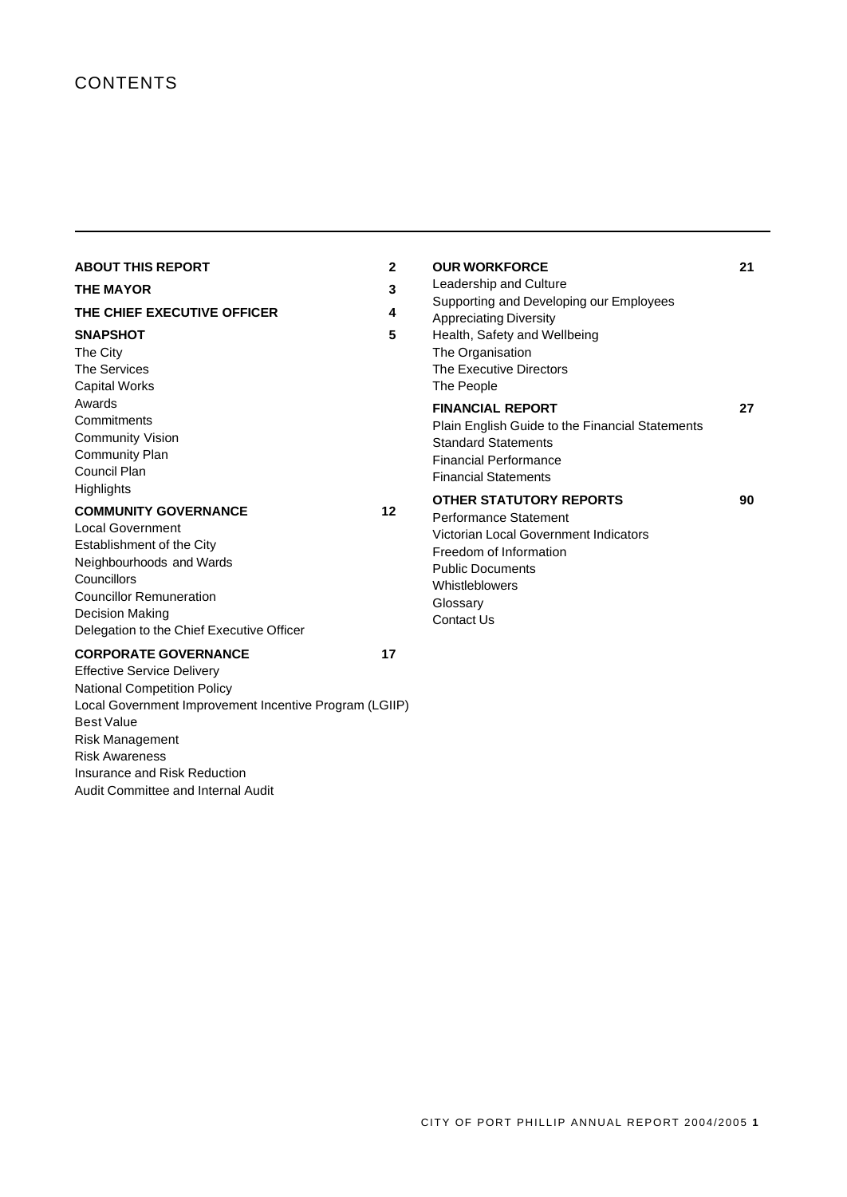# **CONTENTS**

| <b>ABOUT THIS REPORT</b><br><b>THE MAYOR</b><br>THE CHIEF EXECUTIVE OFFICER<br><b>SNAPSHOT</b><br>The City<br><b>The Services</b><br><b>Capital Works</b><br>Awards<br>Commitments<br><b>Community Vision</b><br><b>Community Plan</b><br>Council Plan | $\mathbf{2}$<br>3<br>4<br>5 | <b>OUR WORKFORCE</b><br>Leadership and Culture<br>Supporting and Developing our Employees<br><b>Appreciating Diversity</b><br>Health, Safety and Wellbeing<br>The Organisation<br>The Executive Directors<br>The People<br><b>FINANCIAL REPORT</b><br>Plain English Guide to the Financial Statements<br><b>Standard Statements</b><br><b>Financial Performance</b><br><b>Financial Statements</b> | 21<br>27 |
|--------------------------------------------------------------------------------------------------------------------------------------------------------------------------------------------------------------------------------------------------------|-----------------------------|----------------------------------------------------------------------------------------------------------------------------------------------------------------------------------------------------------------------------------------------------------------------------------------------------------------------------------------------------------------------------------------------------|----------|
| <b>Highlights</b><br><b>COMMUNITY GOVERNANCE</b><br><b>Local Government</b><br>Establishment of the City<br>Neighbourhoods and Wards<br>Councillors<br><b>Councillor Remuneration</b><br>Decision Making<br>Delegation to the Chief Executive Officer  | 12                          | <b>OTHER STATUTORY REPORTS</b><br>Performance Statement<br>Victorian Local Government Indicators<br>Freedom of Information<br><b>Public Documents</b><br>Whistleblowers<br>Glossary<br>Contact Us                                                                                                                                                                                                  | 90       |
| <b>CORPORATE GOVERNANCE</b>                                                                                                                                                                                                                            | 17                          |                                                                                                                                                                                                                                                                                                                                                                                                    |          |

Effective Service Delivery National Competition Policy Local Government Improvement Incentive Program (LGIIP) Best Value Risk Management Risk Awareness Insurance and Risk Reduction Audit Committee and Internal Audit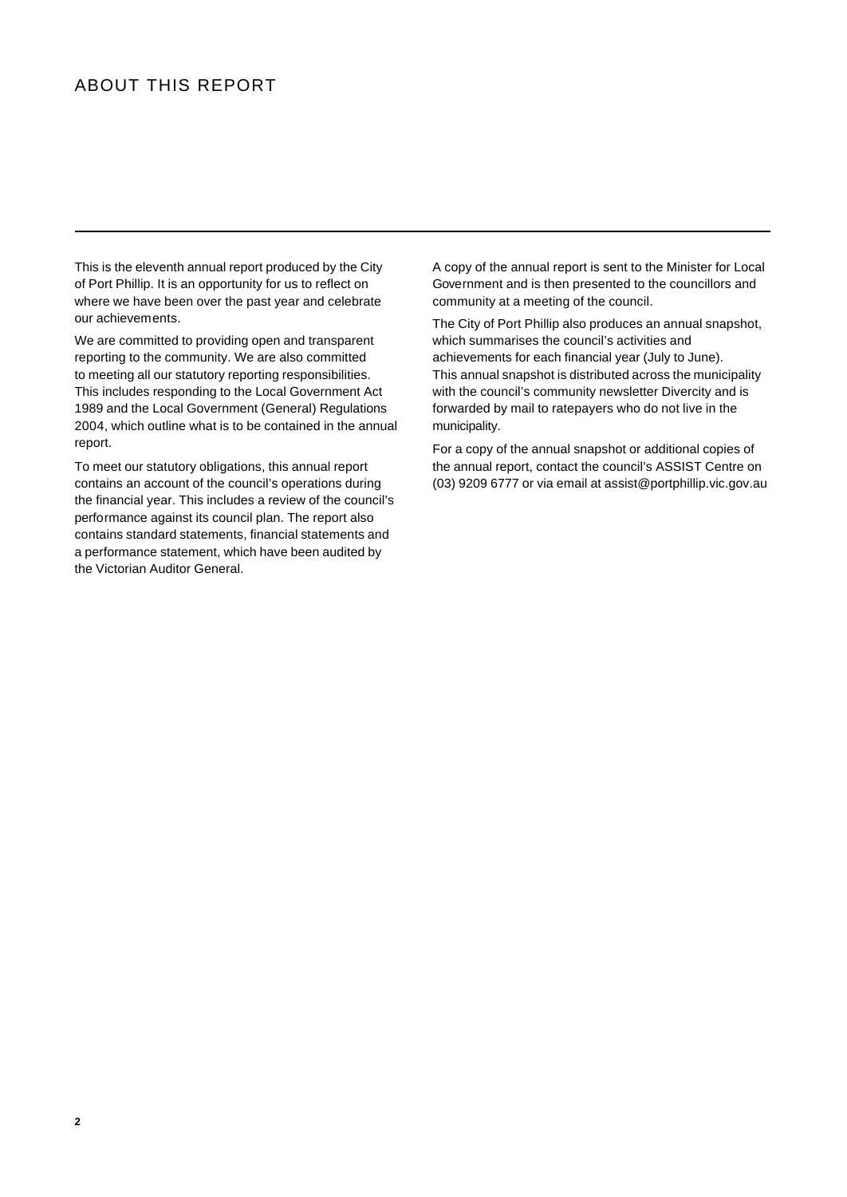# ABOUT THIS REPORT

This is the eleventh annual report produced by the City of Port Phillip. It is an opportunity for us to reflect on where we have been over the past year and celebrate our achievements.

We are committed to providing open and transparent reporting to the community. We are also committed to meeting all our statutory reporting responsibilities. This includes responding to the Local Government Act 1989 and the Local Government (General) Regulations 2004, which outline what is to be contained in the annual report.

To meet our statutory obligations, this annual report contains an account of the council's operations during the financial year. This includes a review of the council's performance against its council plan. The report also contains standard statements, financial statements and a performance statement, which have been audited by the Victorian Auditor General.

A copy of the annual report is sent to the Minister for Local Government and is then presented to the councillors and community at a meeting of the council.

The City of Port Phillip also produces an annual snapshot, which summarises the council's activities and achievements for each financial year (July to June). This annual snapshot is distributed across the municipality with the council's community newsletter Divercity and is forwarded by mail to ratepayers who do not live in the municipality.

For a copy of the annual snapshot or additional copies of the annual report, contact the council's ASSIST Centre on (03) 9209 6777 or via email at assist@portphillip.vic.gov.au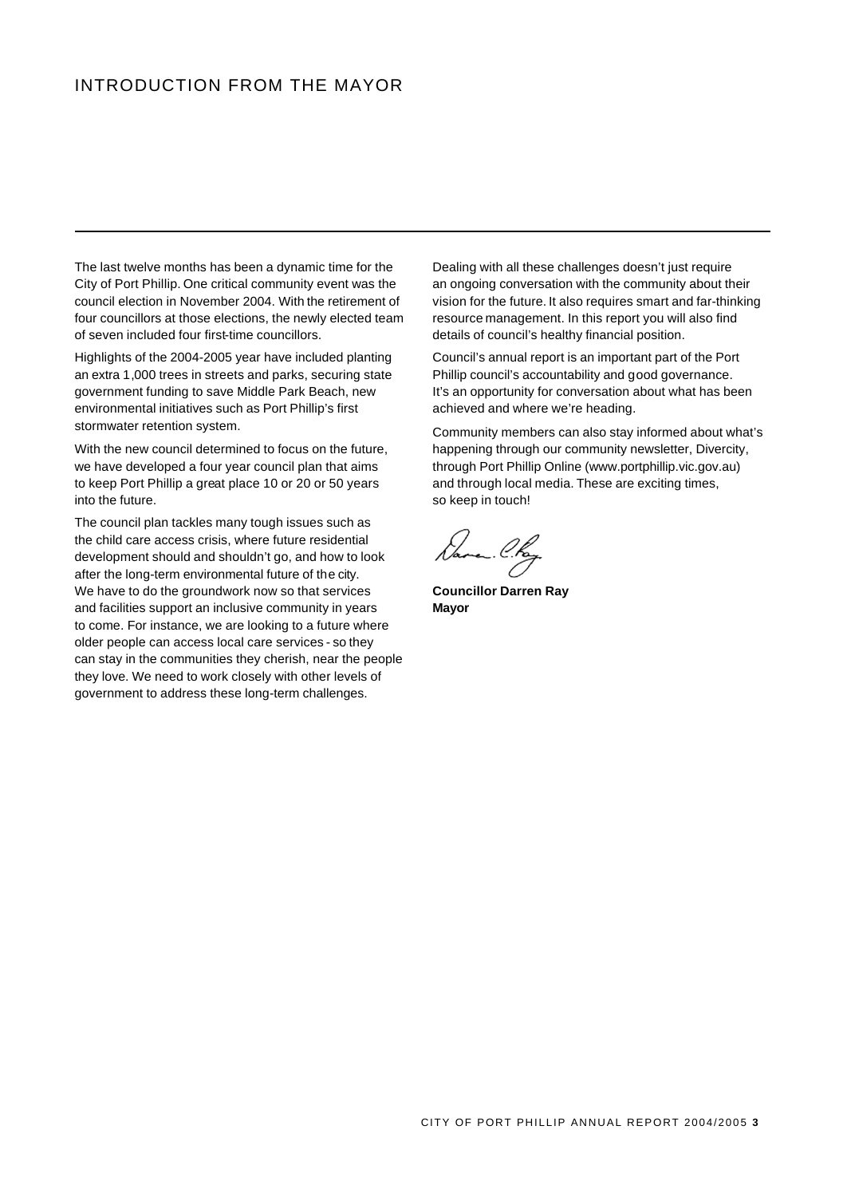# INTRODUCTION FROM THE MAYOR

The last twelve months has been a dynamic time for the City of Port Phillip. One critical community event was the council election in November 2004. With the retirement of four councillors at those elections, the newly elected team of seven included four first-time councillors.

Highlights of the 2004-2005 year have included planting an extra 1,000 trees in streets and parks, securing state government funding to save Middle Park Beach, new environmental initiatives such as Port Phillip's first stormwater retention system.

With the new council determined to focus on the future, we have developed a four year council plan that aims to keep Port Phillip a great place 10 or 20 or 50 years into the future.

The council plan tackles many tough issues such as the child care access crisis, where future residential development should and shouldn't go, and how to look after the long-term environmental future of the city. We have to do the groundwork now so that services and facilities support an inclusive community in years to come. For instance, we are looking to a future where older people can access local care services - so they can stay in the communities they cherish, near the people they love. We need to work closely with other levels of government to address these long-term challenges.

Dealing with all these challenges doesn't just require an ongoing conversation with the community about their vision for the future. It also requires smart and far-thinking resource management. In this report you will also find details of council's healthy financial position.

Council's annual report is an important part of the Port Phillip council's accountability and good governance. It's an opportunity for conversation about what has been achieved and where we're heading.

Community members can also stay informed about what's happening through our community newsletter, Divercity, through Port Phillip Online (www.portphillip.vic.gov.au) and through local media. These are exciting times, so keep in touch!

**Councillor Darren Ray Mayor**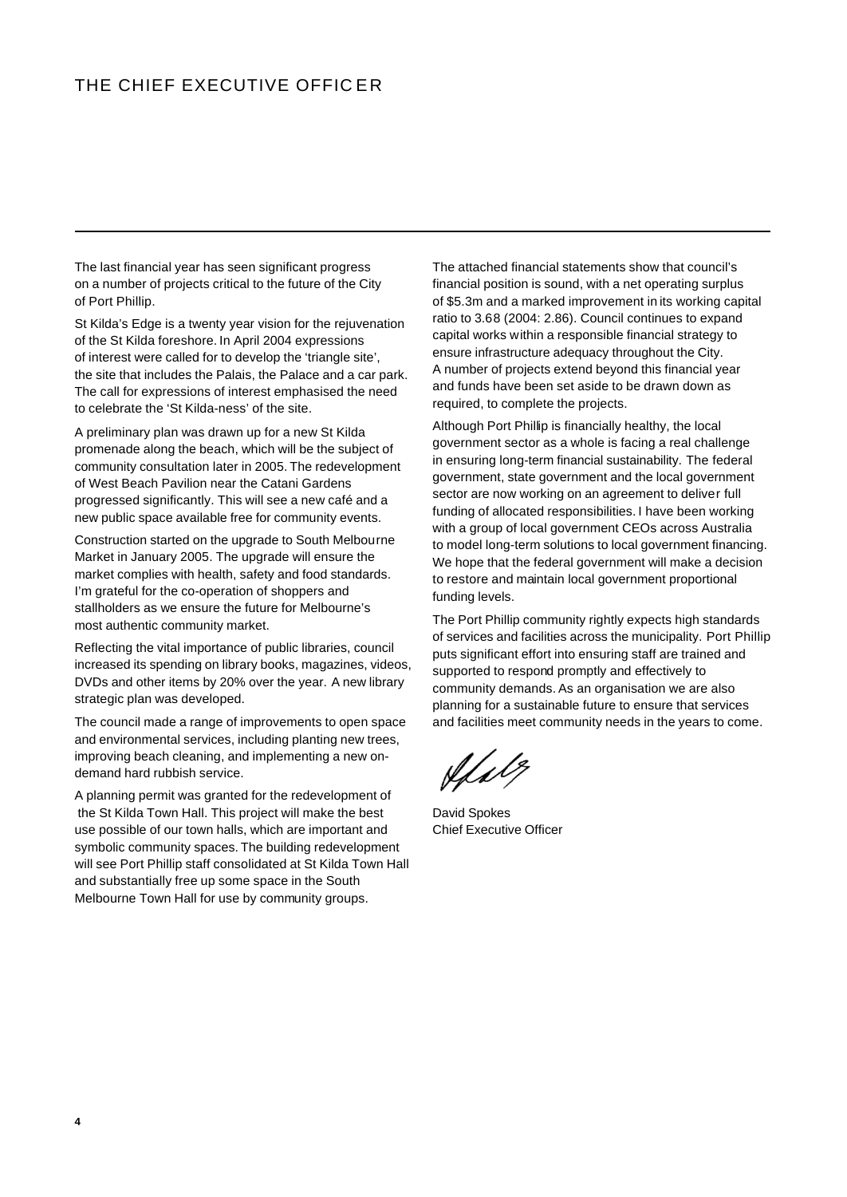# THE CHIEF EXECUTIVE OFFICER

The last financial year has seen significant progress on a number of projects critical to the future of the City of Port Phillip.

St Kilda's Edge is a twenty year vision for the rejuvenation of the St Kilda foreshore. In April 2004 expressions of interest were called for to develop the 'triangle site', the site that includes the Palais, the Palace and a car park. The call for expressions of interest emphasised the need to celebrate the 'St Kilda-ness' of the site.

A preliminary plan was drawn up for a new St Kilda promenade along the beach, which will be the subject of community consultation later in 2005. The redevelopment of West Beach Pavilion near the Catani Gardens progressed significantly. This will see a new café and a new public space available free for community events.

Construction started on the upgrade to South Melbourne Market in January 2005. The upgrade will ensure the market complies with health, safety and food standards. I'm grateful for the co-operation of shoppers and stallholders as we ensure the future for Melbourne's most authentic community market.

Reflecting the vital importance of public libraries, council increased its spending on library books, magazines, videos, DVDs and other items by 20% over the year. A new library strategic plan was developed.

The council made a range of improvements to open space and environmental services, including planting new trees, improving beach cleaning, and implementing a new ondemand hard rubbish service.

A planning permit was granted for the redevelopment of the St Kilda Town Hall. This project will make the best use possible of our town halls, which are important and symbolic community spaces. The building redevelopment will see Port Phillip staff consolidated at St Kilda Town Hall and substantially free up some space in the South Melbourne Town Hall for use by community groups.

The attached financial statements show that council's financial position is sound, with a net operating surplus of \$5.3m and a marked improvement in its working capital ratio to 3.68 (2004: 2.86). Council continues to expand capital works within a responsible financial strategy to ensure infrastructure adequacy throughout the City. A number of projects extend beyond this financial year and funds have been set aside to be drawn down as required, to complete the projects.

Although Port Phillip is financially healthy, the local government sector as a whole is facing a real challenge in ensuring long-term financial sustainability. The federal government, state government and the local government sector are now working on an agreement to deliver full funding of allocated responsibilities. I have been working with a group of local government CEOs across Australia to model long-term solutions to local government financing. We hope that the federal government will make a decision to restore and maintain local government proportional funding levels.

The Port Phillip community rightly expects high standards of services and facilities across the municipality. Port Phillip puts significant effort into ensuring staff are trained and supported to respond promptly and effectively to community demands. As an organisation we are also planning for a sustainable future to ensure that services and facilities meet community needs in the years to come.

(f)

David Spokes Chief Executive Officer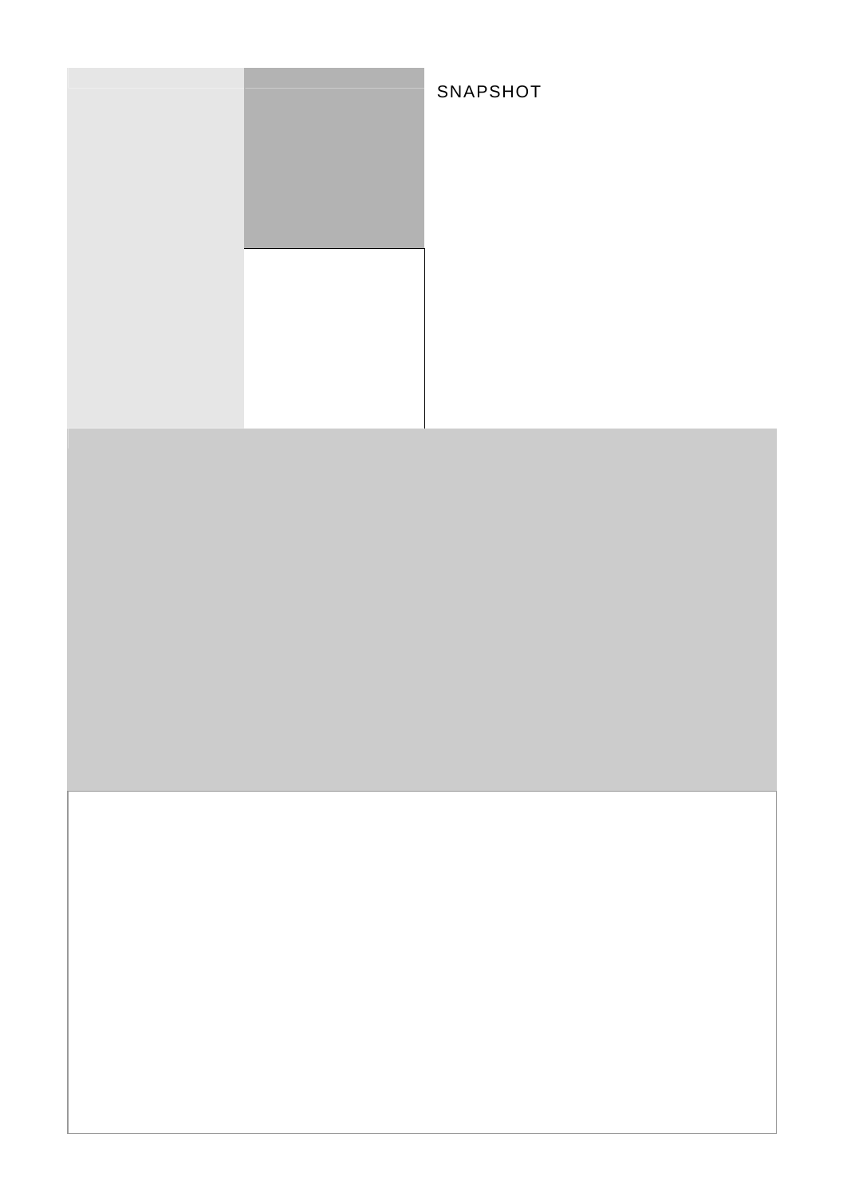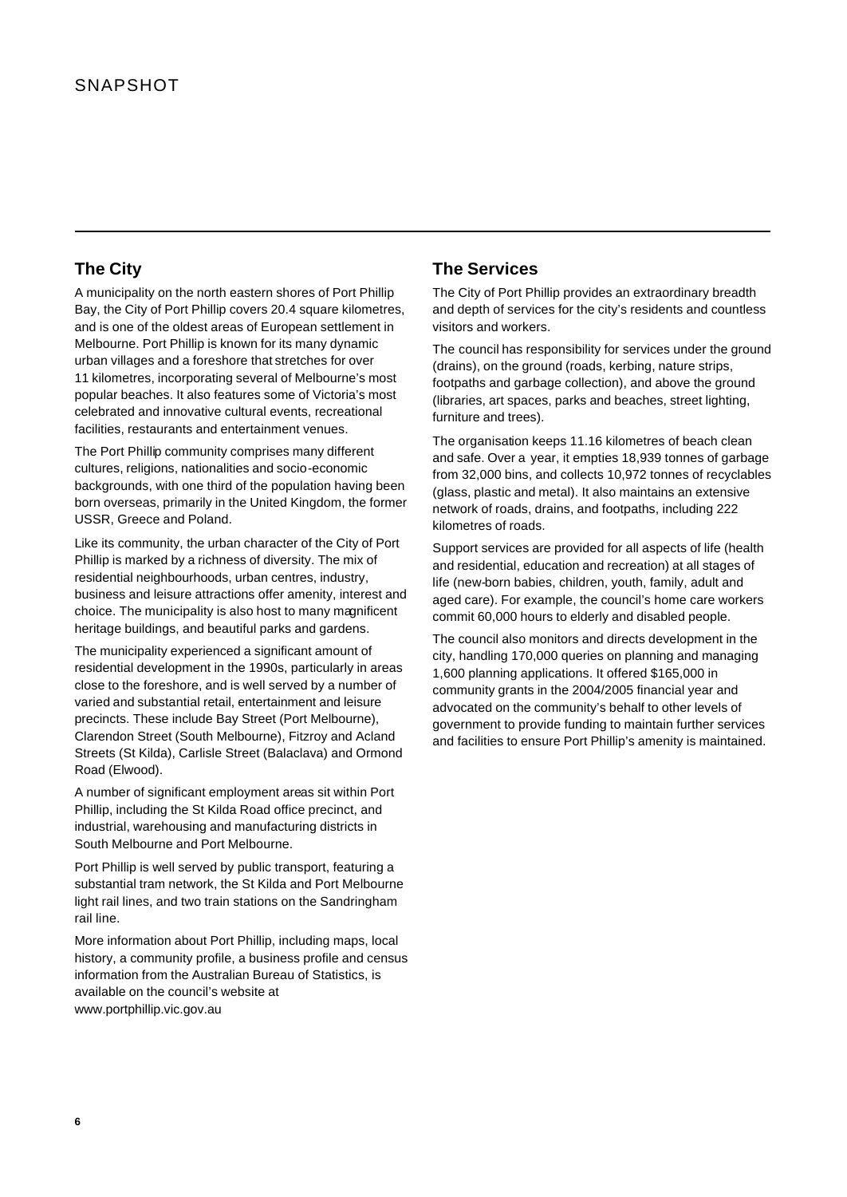# **The City**

A municipality on the north eastern shores of Port Phillip Bay, the City of Port Phillip covers 20.4 square kilometres, and is one of the oldest areas of European settlement in Melbourne. Port Phillip is known for its many dynamic urban villages and a foreshore that stretches for over 11 kilometres, incorporating several of Melbourne's most popular beaches. It also features some of Victoria's most celebrated and innovative cultural events, recreational facilities, restaurants and entertainment venues.

The Port Phillip community comprises many different cultures, religions, nationalities and socio-economic backgrounds, with one third of the population having been born overseas, primarily in the United Kingdom, the former USSR, Greece and Poland.

Like its community, the urban character of the City of Port Phillip is marked by a richness of diversity. The mix of residential neighbourhoods, urban centres, industry, business and leisure attractions offer amenity, interest and choice. The municipality is also host to many magnificent heritage buildings, and beautiful parks and gardens.

The municipality experienced a significant amount of residential development in the 1990s, particularly in areas close to the foreshore, and is well served by a number of varied and substantial retail, entertainment and leisure precincts. These include Bay Street (Port Melbourne), Clarendon Street (South Melbourne), Fitzroy and Acland Streets (St Kilda), Carlisle Street (Balaclava) and Ormond Road (Elwood).

A number of significant employment areas sit within Port Phillip, including the St Kilda Road office precinct, and industrial, warehousing and manufacturing districts in South Melbourne and Port Melbourne.

Port Phillip is well served by public transport, featuring a substantial tram network, the St Kilda and Port Melbourne light rail lines, and two train stations on the Sandringham rail line.

More information about Port Phillip, including maps, local history, a community profile, a business profile and census information from the Australian Bureau of Statistics, is available on the council's website at www.portphillip.vic.gov.au

# **The Services**

The City of Port Phillip provides an extraordinary breadth and depth of services for the city's residents and countless visitors and workers.

The council has responsibility for services under the ground (drains), on the ground (roads, kerbing, nature strips, footpaths and garbage collection), and above the ground (libraries, art spaces, parks and beaches, street lighting, furniture and trees).

The organisation keeps 11.16 kilometres of beach clean and safe. Over a year, it empties 18,939 tonnes of garbage from 32,000 bins, and collects 10,972 tonnes of recyclables (glass, plastic and metal). It also maintains an extensive network of roads, drains, and footpaths, including 222 kilometres of roads.

Support services are provided for all aspects of life (health and residential, education and recreation) at all stages of life (new-born babies, children, youth, family, adult and aged care). For example, the council's home care workers commit 60,000 hours to elderly and disabled people.

The council also monitors and directs development in the city, handling 170,000 queries on planning and managing 1,600 planning applications. It offered \$165,000 in community grants in the 2004/2005 financial year and advocated on the community's behalf to other levels of government to provide funding to maintain further services and facilities to ensure Port Phillip's amenity is maintained.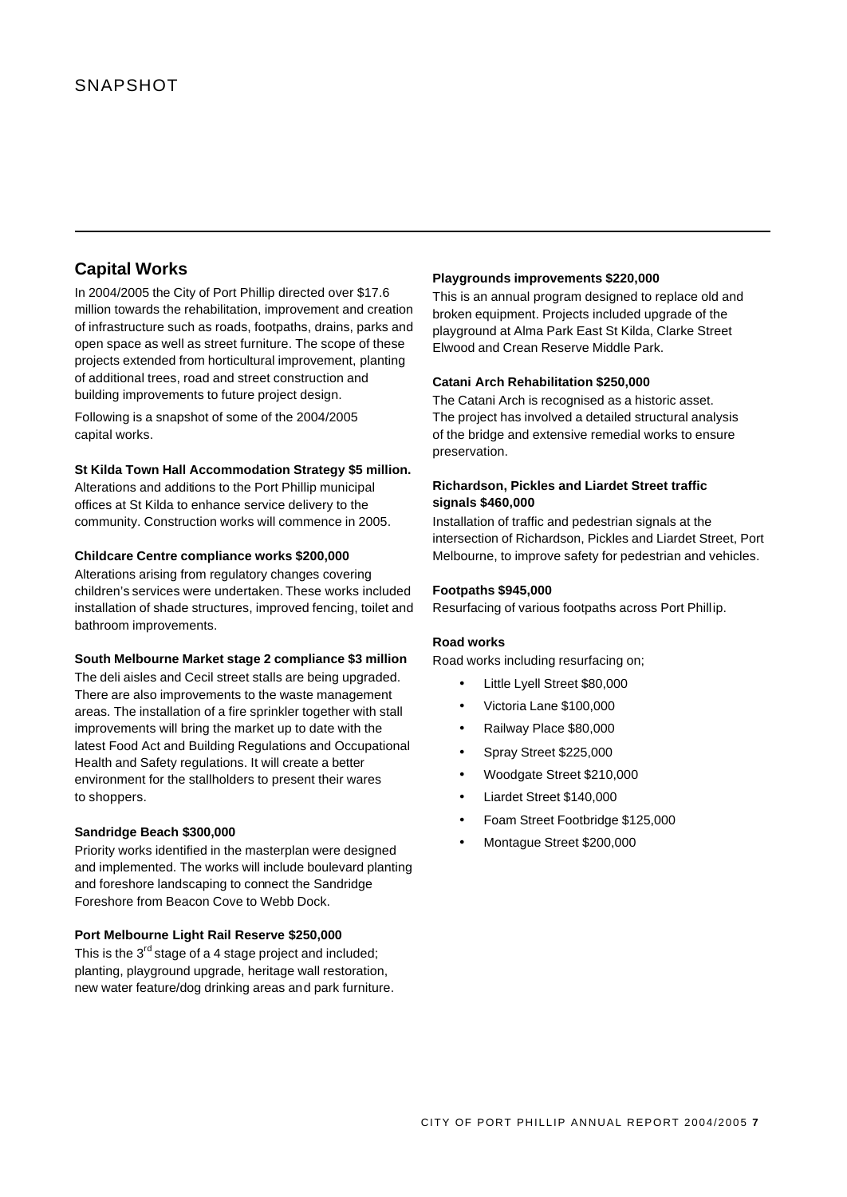# **Capital Works**

In 2004/2005 the City of Port Phillip directed over \$17.6 million towards the rehabilitation, improvement and creation of infrastructure such as roads, footpaths, drains, parks and open space as well as street furniture. The scope of these projects extended from horticultural improvement, planting of additional trees, road and street construction and building improvements to future project design.

Following is a snapshot of some of the 2004/2005 capital works.

### **St Kilda Town Hall Accommodation Strategy \$5 million.**

Alterations and additions to the Port Phillip municipal offices at St Kilda to enhance service delivery to the community. Construction works will commence in 2005.

### **Childcare Centre compliance works \$200,000**

Alterations arising from regulatory changes covering children's services were undertaken. These works included installation of shade structures, improved fencing, toilet and bathroom improvements.

#### **South Melbourne Market stage 2 compliance \$3 million**

The deli aisles and Cecil street stalls are being upgraded. There are also improvements to the waste management areas. The installation of a fire sprinkler together with stall improvements will bring the market up to date with the latest Food Act and Building Regulations and Occupational Health and Safety regulations. It will create a better environment for the stallholders to present their wares to shoppers.

## **Sandridge Beach \$300,000**

Priority works identified in the masterplan were designed and implemented. The works will include boulevard planting and foreshore landscaping to connect the Sandridge Foreshore from Beacon Cove to Webb Dock.

### **Port Melbourne Light Rail Reserve \$250,000**

This is the  $3^{rd}$  stage of a 4 stage project and included; planting, playground upgrade, heritage wall restoration, new water feature/dog drinking areas and park furniture.

#### **Playgrounds improvements \$220,000**

This is an annual program designed to replace old and broken equipment. Projects included upgrade of the playground at Alma Park East St Kilda, Clarke Street Elwood and Crean Reserve Middle Park.

### **Catani Arch Rehabilitation \$250,000**

The Catani Arch is recognised as a historic asset. The project has involved a detailed structural analysis of the bridge and extensive remedial works to ensure preservation.

## **Richardson, Pickles and Liardet Street traffic signals \$460,000**

Installation of traffic and pedestrian signals at the intersection of Richardson, Pickles and Liardet Street, Port Melbourne, to improve safety for pedestrian and vehicles.

#### **Footpaths \$945,000**

Resurfacing of various footpaths across Port Phillip.

#### **Road works**

Road works including resurfacing on;

- Little Lyell Street \$80,000
- Victoria Lane \$100,000
- Railway Place \$80,000
- Spray Street \$225,000
- Woodgate Street \$210,000
- Liardet Street \$140,000
- Foam Street Footbridge \$125,000
- Montague Street \$200,000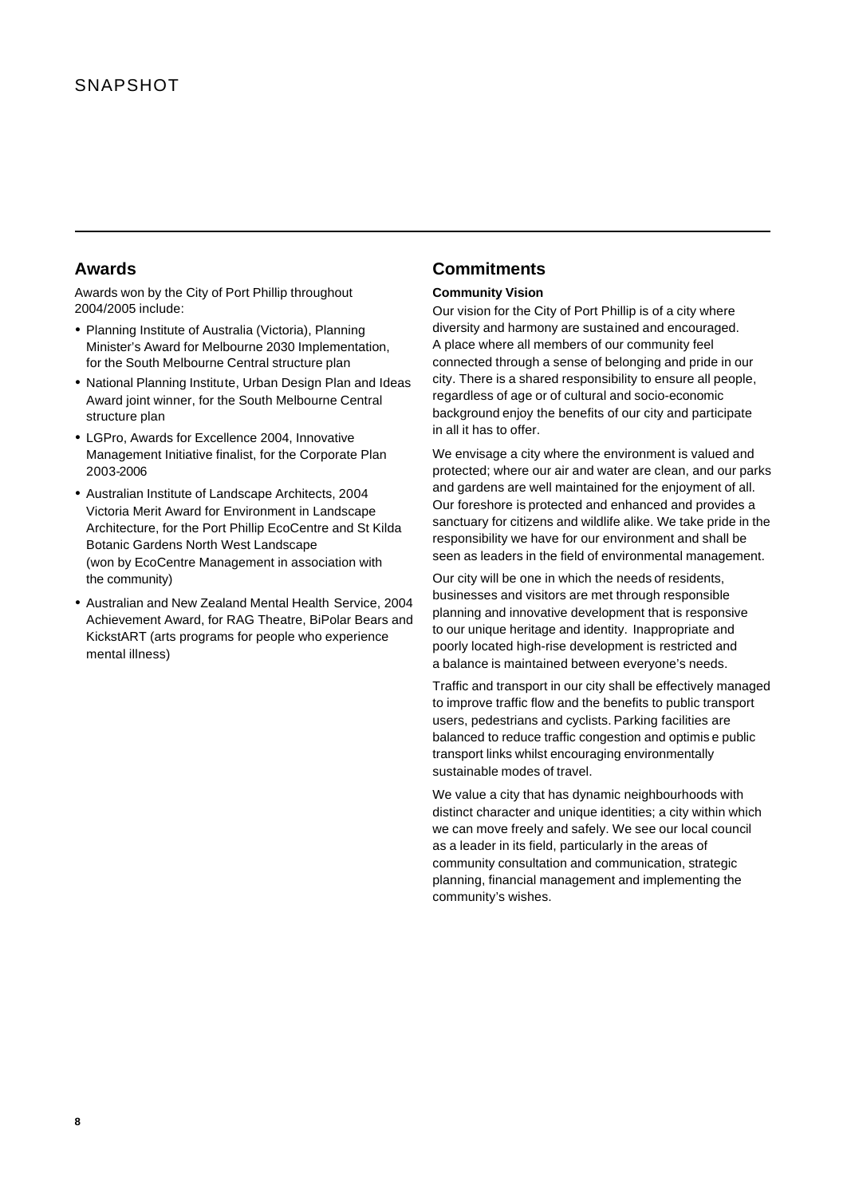## **Awards**

Awards won by the City of Port Phillip throughout 2004/2005 include:

- Planning Institute of Australia (Victoria), Planning Minister's Award for Melbourne 2030 Implementation, for the South Melbourne Central structure plan
- ü National Planning Institute, Urban Design Plan and Ideas Award joint winner, for the South Melbourne Central structure plan
- LGPro, Awards for Excellence 2004, Innovative Management Initiative finalist, for the Corporate Plan 2003-2006
- Australian Institute of Landscape Architects, 2004 Victoria Merit Award for Environment in Landscape Architecture, for the Port Phillip EcoCentre and St Kilda Botanic Gardens North West Landscape (won by EcoCentre Management in association with the community)
- Australian and New Zealand Mental Health Service, 2004 Achievement Award, for RAG Theatre, BiPolar Bears and KickstART (arts programs for people who experience mental illness)

# **Commitments**

## **Community Vision**

Our vision for the City of Port Phillip is of a city where diversity and harmony are sustained and encouraged. A place where all members of our community feel connected through a sense of belonging and pride in our city. There is a shared responsibility to ensure all people, regardless of age or of cultural and socio-economic background enjoy the benefits of our city and participate in all it has to offer.

We envisage a city where the environment is valued and protected; where our air and water are clean, and our parks and gardens are well maintained for the enjoyment of all. Our foreshore is protected and enhanced and provides a sanctuary for citizens and wildlife alike. We take pride in the responsibility we have for our environment and shall be seen as leaders in the field of environmental management.

Our city will be one in which the needs of residents, businesses and visitors are met through responsible planning and innovative development that is responsive to our unique heritage and identity. Inappropriate and poorly located high-rise development is restricted and a balance is maintained between everyone's needs.

Traffic and transport in our city shall be effectively managed to improve traffic flow and the benefits to public transport users, pedestrians and cyclists. Parking facilities are balanced to reduce traffic congestion and optimis e public transport links whilst encouraging environmentally sustainable modes of travel.

We value a city that has dynamic neighbourhoods with distinct character and unique identities; a city within which we can move freely and safely. We see our local council as a leader in its field, particularly in the areas of community consultation and communication, strategic planning, financial management and implementing the community's wishes.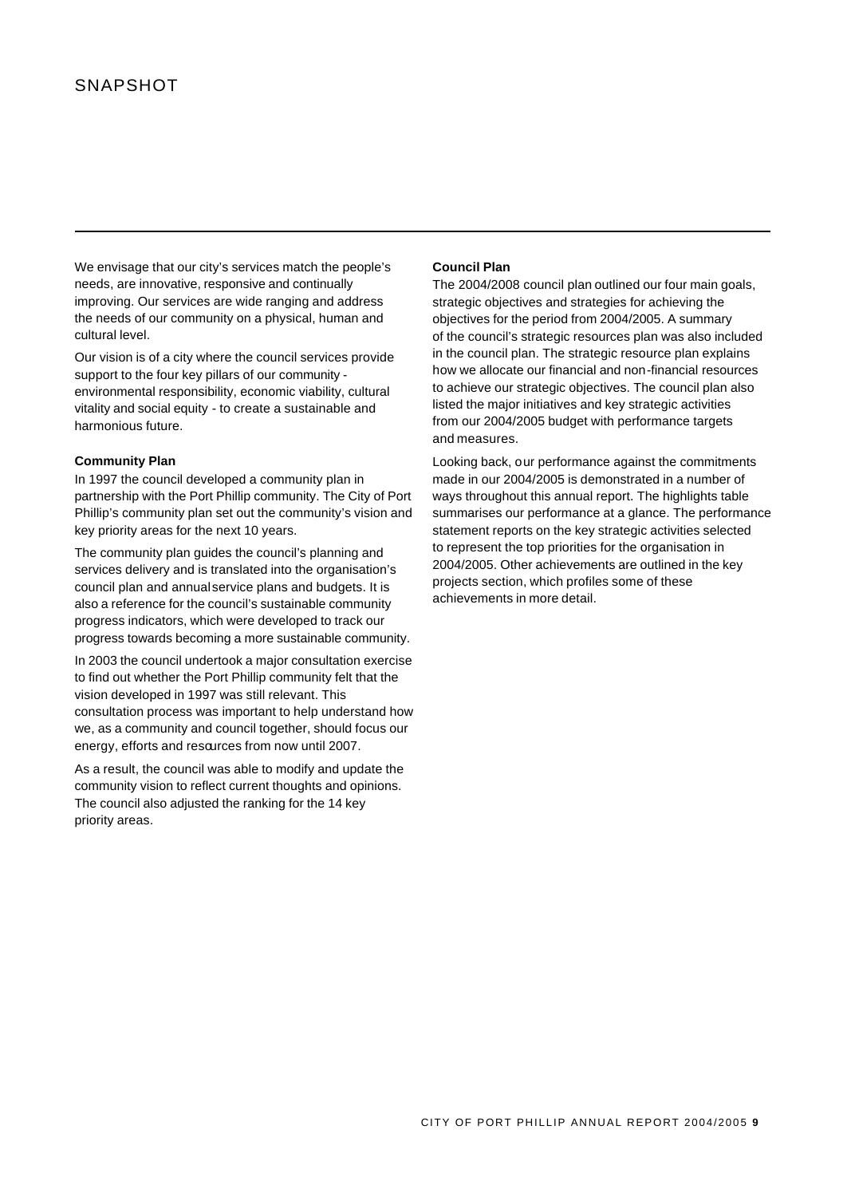We envisage that our city's services match the people's needs, are innovative, responsive and continually improving. Our services are wide ranging and address the needs of our community on a physical, human and cultural level.

Our vision is of a city where the council services provide support to the four key pillars of our community environmental responsibility, economic viability, cultural vitality and social equity - to create a sustainable and harmonious future.

### **Community Plan**

In 1997 the council developed a community plan in partnership with the Port Phillip community. The City of Port Phillip's community plan set out the community's vision and key priority areas for the next 10 years.

The community plan guides the council's planning and services delivery and is translated into the organisation's council plan and annual service plans and budgets. It is also a reference for the council's sustainable community progress indicators, which were developed to track our progress towards becoming a more sustainable community.

In 2003 the council undertook a major consultation exercise to find out whether the Port Phillip community felt that the vision developed in 1997 was still relevant. This consultation process was important to help understand how we, as a community and council together, should focus our energy, efforts and resources from now until 2007.

As a result, the council was able to modify and update the community vision to reflect current thoughts and opinions. The council also adjusted the ranking for the 14 key priority areas.

#### **Council Plan**

The 2004/2008 council plan outlined our four main goals, strategic objectives and strategies for achieving the objectives for the period from 2004/2005. A summary of the council's strategic resources plan was also included in the council plan. The strategic resource plan explains how we allocate our financial and non-financial resources to achieve our strategic objectives. The council plan also listed the major initiatives and key strategic activities from our 2004/2005 budget with performance targets and measures.

Looking back, our performance against the commitments made in our 2004/2005 is demonstrated in a number of ways throughout this annual report. The highlights table summarises our performance at a glance. The performance statement reports on the key strategic activities selected to represent the top priorities for the organisation in 2004/2005. Other achievements are outlined in the key projects section, which profiles some of these achievements in more detail.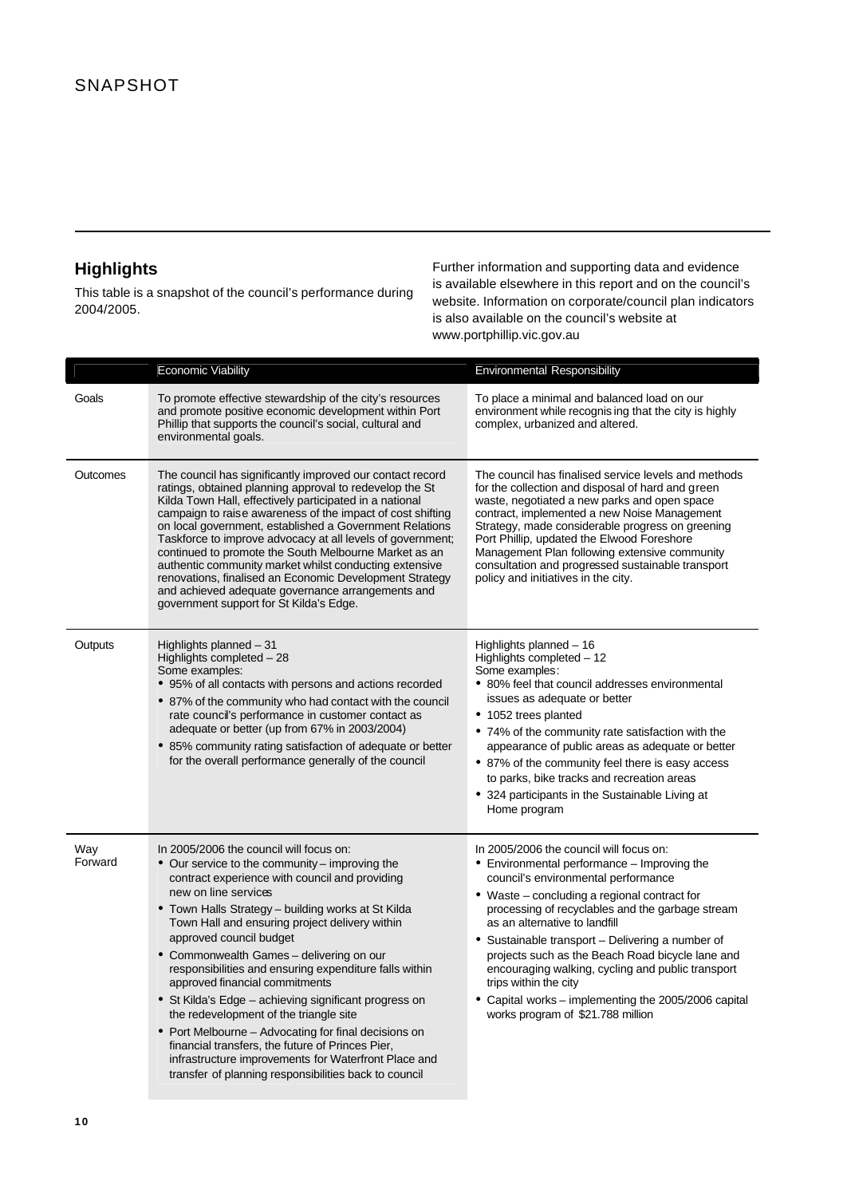# **Highlights**

This table is a snapshot of the council's performance during 2004/2005.

Further information and supporting data and evidence is available elsewhere in this report and on the council's website. Information on corporate/council plan indicators is also available on the council's website at www.portphillip.vic.gov.au

|                | <b>Economic Viability</b>                                                                                                                                                                                                                                                                                                                                                                                                                                                                                                                                                                                                                                                                                                                                                      | Environmental Responsibility                                                                                                                                                                                                                                                                                                                                                                                                                                                                                                                          |
|----------------|--------------------------------------------------------------------------------------------------------------------------------------------------------------------------------------------------------------------------------------------------------------------------------------------------------------------------------------------------------------------------------------------------------------------------------------------------------------------------------------------------------------------------------------------------------------------------------------------------------------------------------------------------------------------------------------------------------------------------------------------------------------------------------|-------------------------------------------------------------------------------------------------------------------------------------------------------------------------------------------------------------------------------------------------------------------------------------------------------------------------------------------------------------------------------------------------------------------------------------------------------------------------------------------------------------------------------------------------------|
| Goals          | To promote effective stewardship of the city's resources<br>and promote positive economic development within Port<br>Phillip that supports the council's social, cultural and<br>environmental goals.                                                                                                                                                                                                                                                                                                                                                                                                                                                                                                                                                                          | To place a minimal and balanced load on our<br>environment while recognising that the city is highly<br>complex, urbanized and altered.                                                                                                                                                                                                                                                                                                                                                                                                               |
| Outcomes       | The council has significantly improved our contact record<br>ratings, obtained planning approval to redevelop the St<br>Kilda Town Hall, effectively participated in a national<br>campaign to raise awareness of the impact of cost shifting<br>on local government, established a Government Relations<br>Taskforce to improve advocacy at all levels of government;<br>continued to promote the South Melbourne Market as an<br>authentic community market whilst conducting extensive<br>renovations, finalised an Economic Development Strategy<br>and achieved adequate governance arrangements and<br>government support for St Kilda's Edge.                                                                                                                           | The council has finalised service levels and methods<br>for the collection and disposal of hard and green<br>waste, negotiated a new parks and open space<br>contract, implemented a new Noise Management<br>Strategy, made considerable progress on greening<br>Port Phillip, updated the Elwood Foreshore<br>Management Plan following extensive community<br>consultation and progressed sustainable transport<br>policy and initiatives in the city.                                                                                              |
| Outputs        | Highlights planned - 31<br>Highlights completed - 28<br>Some examples:<br>• 95% of all contacts with persons and actions recorded<br>• 87% of the community who had contact with the council<br>rate council's performance in customer contact as<br>adequate or better (up from 67% in 2003/2004)<br>• 85% community rating satisfaction of adequate or better<br>for the overall performance generally of the council                                                                                                                                                                                                                                                                                                                                                        | Highlights planned - 16<br>Highlights completed - 12<br>Some examples:<br>• 80% feel that council addresses environmental<br>issues as adequate or better<br>• 1052 trees planted<br>• 74% of the community rate satisfaction with the<br>appearance of public areas as adequate or better<br>• 87% of the community feel there is easy access<br>to parks, bike tracks and recreation areas<br>• 324 participants in the Sustainable Living at<br>Home program                                                                                       |
| Way<br>Forward | In 2005/2006 the council will focus on:<br>• Our service to the community - improving the<br>contract experience with council and providing<br>new on line services<br>• Town Halls Strategy – building works at St Kilda<br>Town Hall and ensuring project delivery within<br>approved council budget<br>• Commonwealth Games - delivering on our<br>responsibilities and ensuring expenditure falls within<br>approved financial commitments<br>• St Kilda's Edge – achieving significant progress on<br>the redevelopment of the triangle site<br>• Port Melbourne – Advocating for final decisions on<br>financial transfers, the future of Princes Pier,<br>infrastructure improvements for Waterfront Place and<br>transfer of planning responsibilities back to council | In 2005/2006 the council will focus on:<br>• Environmental performance – Improving the<br>council's environmental performance<br>• Waste – concluding a regional contract for<br>processing of recyclables and the garbage stream<br>as an alternative to landfill<br>• Sustainable transport – Delivering a number of<br>projects such as the Beach Road bicycle lane and<br>encouraging walking, cycling and public transport<br>trips within the city<br>• Capital works – implementing the 2005/2006 capital<br>works program of \$21.788 million |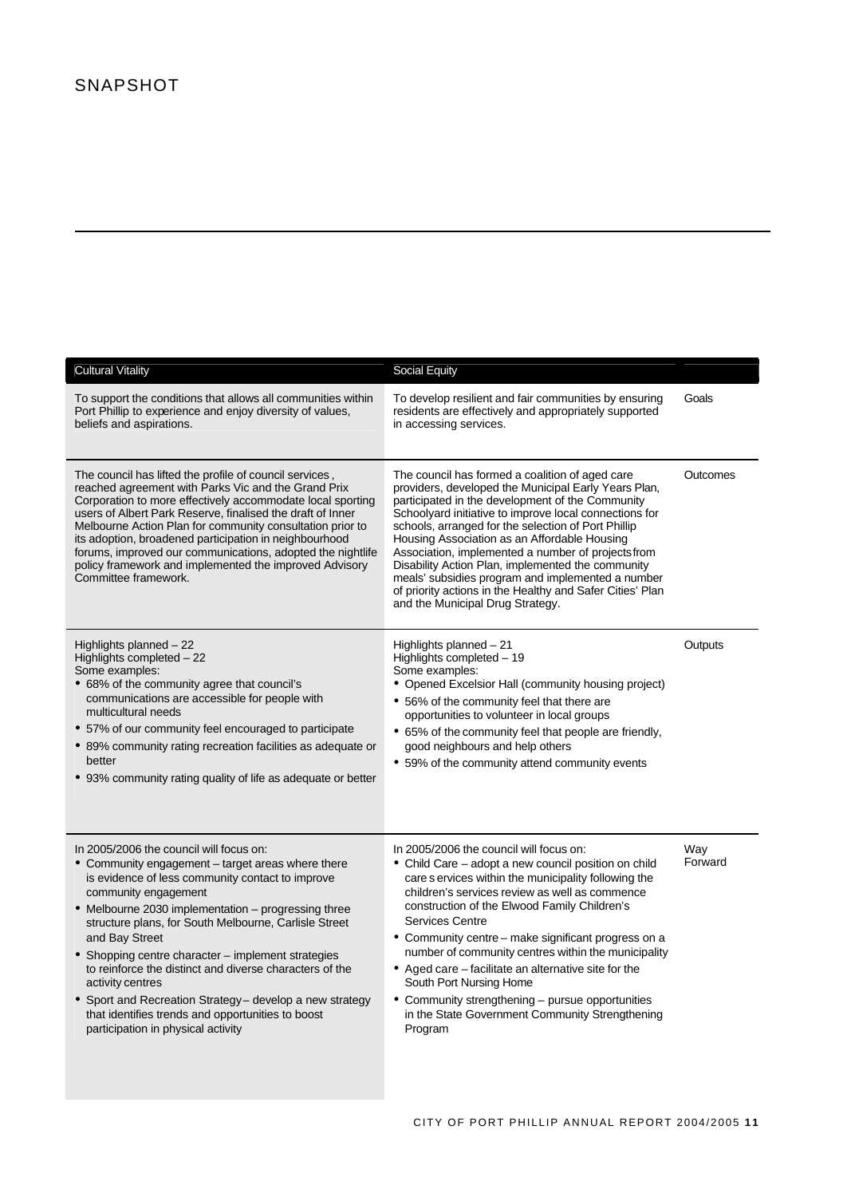| <b>Cultural Vitality</b>                                                                                                                                                                                                                                                                                                                                                                                                                                                                                                                                                                               | Social Equity                                                                                                                                                                                                                                                                                                                                                                                                                                                                                                                                                                                          |                |
|--------------------------------------------------------------------------------------------------------------------------------------------------------------------------------------------------------------------------------------------------------------------------------------------------------------------------------------------------------------------------------------------------------------------------------------------------------------------------------------------------------------------------------------------------------------------------------------------------------|--------------------------------------------------------------------------------------------------------------------------------------------------------------------------------------------------------------------------------------------------------------------------------------------------------------------------------------------------------------------------------------------------------------------------------------------------------------------------------------------------------------------------------------------------------------------------------------------------------|----------------|
| To support the conditions that allows all communities within<br>Port Phillip to experience and enjoy diversity of values,<br>beliefs and aspirations.                                                                                                                                                                                                                                                                                                                                                                                                                                                  | To develop resilient and fair communities by ensuring<br>residents are effectively and appropriately supported<br>in accessing services.                                                                                                                                                                                                                                                                                                                                                                                                                                                               | Goals          |
| The council has lifted the profile of council services,<br>reached agreement with Parks Vic and the Grand Prix<br>Corporation to more effectively accommodate local sporting<br>users of Albert Park Reserve, finalised the draft of Inner<br>Melbourne Action Plan for community consultation prior to<br>its adoption, broadened participation in neighbourhood<br>forums, improved our communications, adopted the nightlife<br>policy framework and implemented the improved Advisory<br>Committee framework.                                                                                      | The council has formed a coalition of aged care<br>providers, developed the Municipal Early Years Plan,<br>participated in the development of the Community<br>Schoolyard initiative to improve local connections for<br>schools, arranged for the selection of Port Phillip<br>Housing Association as an Affordable Housing<br>Association, implemented a number of projects from<br>Disability Action Plan, implemented the community<br>meals' subsidies program and implemented a number<br>of priority actions in the Healthy and Safer Cities' Plan<br>and the Municipal Drug Strategy.          | Outcomes       |
| Highlights planned $-22$<br>Highlights completed - 22<br>Some examples:<br>• 68% of the community agree that council's<br>communications are accessible for people with<br>multicultural needs<br>• 57% of our community feel encouraged to participate<br>• 89% community rating recreation facilities as adequate or<br>better<br>• 93% community rating quality of life as adequate or better                                                                                                                                                                                                       | Highlights planned - 21<br>Highlights completed - 19<br>Some examples:<br>• Opened Excelsior Hall (community housing project)<br>• 56% of the community feel that there are<br>opportunities to volunteer in local groups<br>• 65% of the community feel that people are friendly,<br>good neighbours and help others<br>• 59% of the community attend community events                                                                                                                                                                                                                                | Outputs        |
| In 2005/2006 the council will focus on:<br>• Community engagement - target areas where there<br>is evidence of less community contact to improve<br>community engagement<br>• Melbourne 2030 implementation – progressing three<br>structure plans, for South Melbourne, Carlisle Street<br>and Bay Street<br>• Shopping centre character - implement strategies<br>to reinforce the distinct and diverse characters of the<br>activity centres<br>• Sport and Recreation Strategy - develop a new strategy<br>that identifies trends and opportunities to boost<br>participation in physical activity | In 2005/2006 the council will focus on:<br>• Child Care – adopt a new council position on child<br>care s ervices within the municipality following the<br>children's services review as well as commence<br>construction of the Elwood Family Children's<br><b>Services Centre</b><br>• Community centre – make significant progress on a<br>number of community centres within the municipality<br>• Aged care – facilitate an alternative site for the<br>South Port Nursing Home<br>• Community strengthening - pursue opportunities<br>in the State Government Community Strengthening<br>Program | Way<br>Forward |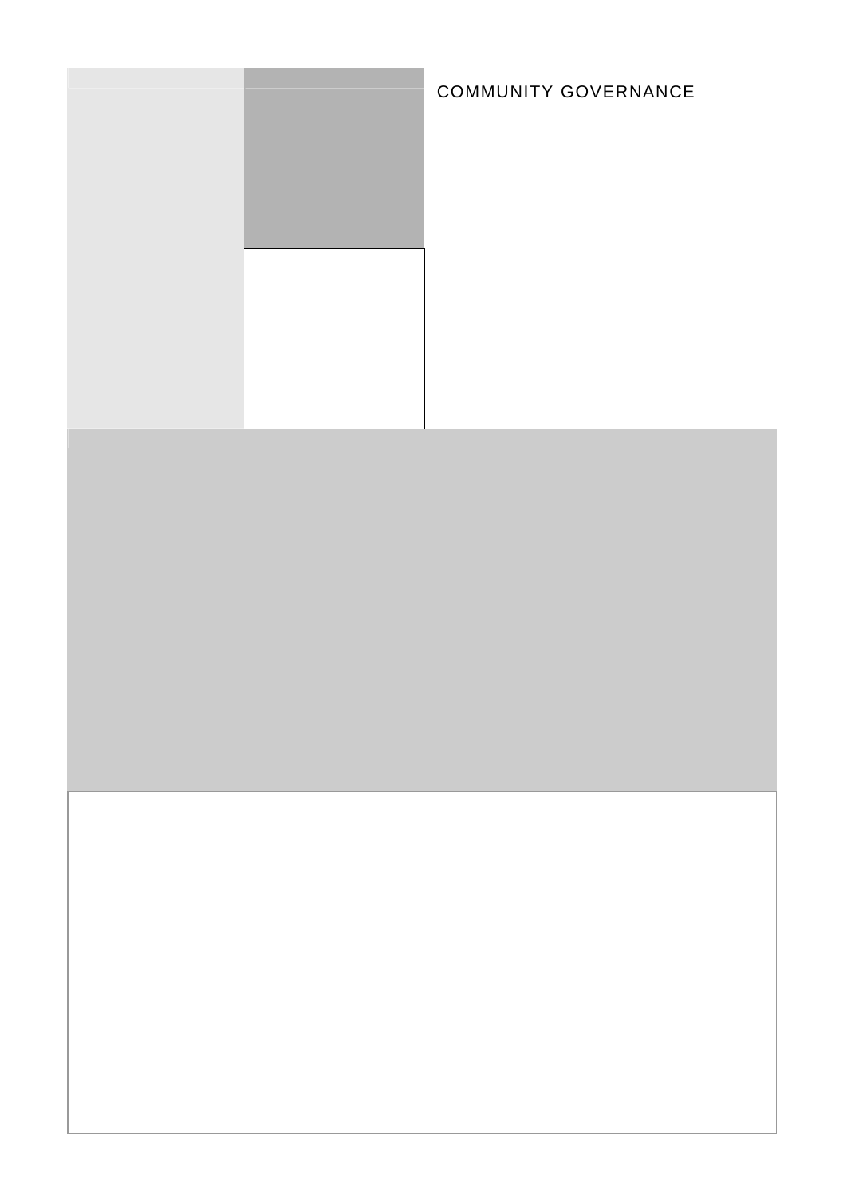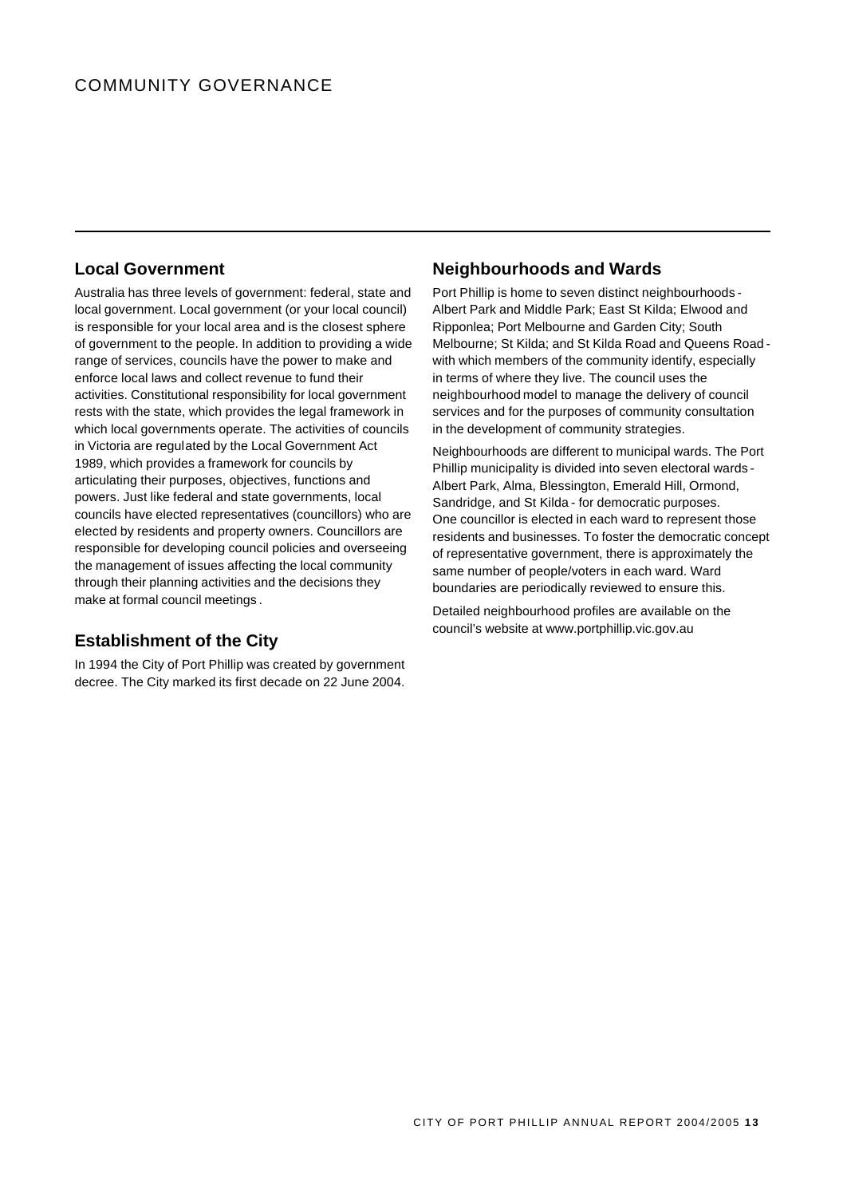# **Local Government**

Australia has three levels of government: federal, state and local government. Local government (or your local council) is responsible for your local area and is the closest sphere of government to the people. In addition to providing a wide range of services, councils have the power to make and enforce local laws and collect revenue to fund their activities. Constitutional responsibility for local government rests with the state, which provides the legal framework in which local governments operate. The activities of councils in Victoria are regulated by the Local Government Act 1989, which provides a framework for councils by articulating their purposes, objectives, functions and powers. Just like federal and state governments, local councils have elected representatives (councillors) who are elected by residents and property owners. Councillors are responsible for developing council policies and overseeing the management of issues affecting the local community through their planning activities and the decisions they make at formal council meetings .

# **Establishment of the City**

In 1994 the City of Port Phillip was created by government decree. The City marked its first decade on 22 June 2004.

# **Neighbourhoods and Wards**

Port Phillip is home to seven distinct neighbourhoods - Albert Park and Middle Park; East St Kilda; Elwood and Ripponlea; Port Melbourne and Garden City; South Melbourne; St Kilda; and St Kilda Road and Queens Road with which members of the community identify, especially in terms of where they live. The council uses the neighbourhood model to manage the delivery of council services and for the purposes of community consultation in the development of community strategies.

Neighbourhoods are different to municipal wards. The Port Phillip municipality is divided into seven electoral wards - Albert Park, Alma, Blessington, Emerald Hill, Ormond, Sandridge, and St Kilda - for democratic purposes. One councillor is elected in each ward to represent those residents and businesses. To foster the democratic concept of representative government, there is approximately the same number of people/voters in each ward. Ward boundaries are periodically reviewed to ensure this.

Detailed neighbourhood profiles are available on the council's website at www.portphillip.vic.gov.au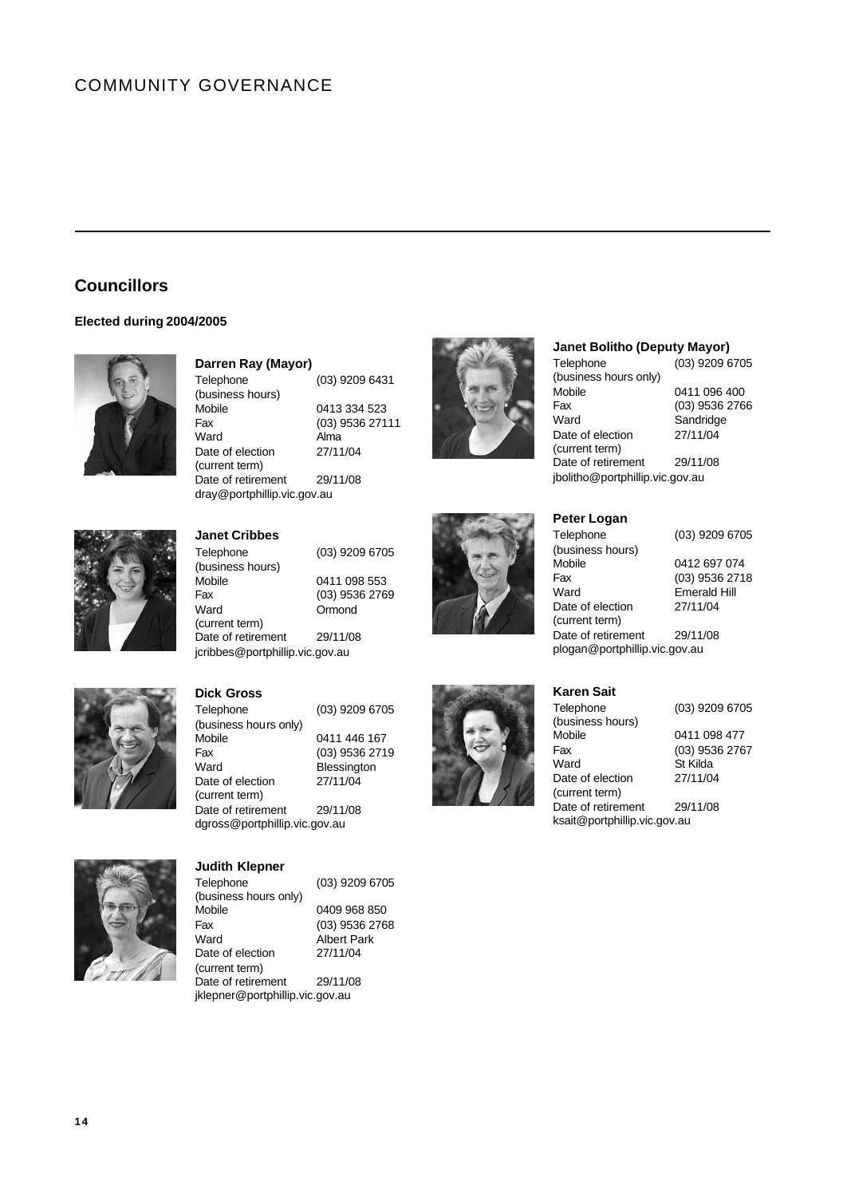# COMMUNITY GOVERNANCE

# **Councillors**

## **Elected during 2004/2005**



## **Darren Ray (Mayor)**

(business hours)

(current term)

**Dick Gross**

(current term)

(business hours only)

Telephone (03) 9209 6431 Mobile 0413 334 523

Fax (03) 9536 27111 Ward Alma Date of election 27/11/04 Date of retirement 29/11/08



## **Janet Bolitho (Deputy Mayor)**

Telephone (03) 9209 6705 (business hours only) Mobile 0411 096 400 Fax (03) 9536 2766 Ward Sandridge Date of election 27/11/04 (current term) Date of retirement 29/11/08 jbolitho@portphillip.vic.gov.au



## **Janet Cribbes**

dray@portphillip.vic.gov.au

Telephone (03) 9209 6705 (business hours) Mobile 0411 098 553 Fax (03) 9536 2769 Ward **Ormond** (current term) Date of retirement 29/11/08 jcribbes@portphillip.vic.gov.au

Telephone (03) 9209 6705

Fax (03) 9536 2719 Ward **Blessington** Date of election 27/11/04



# Telephone (03) 9209 6705 (business hours) Mobile 0412 697 074 Fax (03) 9536 2718 Date of election 27/11/04 (current term)

**Peter Logan**

Emerald Hill

Date of retirement 29/11/08 plogan@portphillip.vic.gov.au



St Kilda

Date of election 27/11/04 Date of retirement 29/11/08 ksait@portphillip.vic.gov.au



Telephone (03) 9209 6705 (business hours only)<br>Mobile Fax (03) 9536 2768 Date of election 27/11/04 (current term) Date of retirement 29/11/08 jklepner@portphillip.vic.gov.au

**Judith Klepner**

Date of retirement 29/11/08 dgross@portphillip.vic.gov.au

0411 446 167

0409 968 850 Albert Park

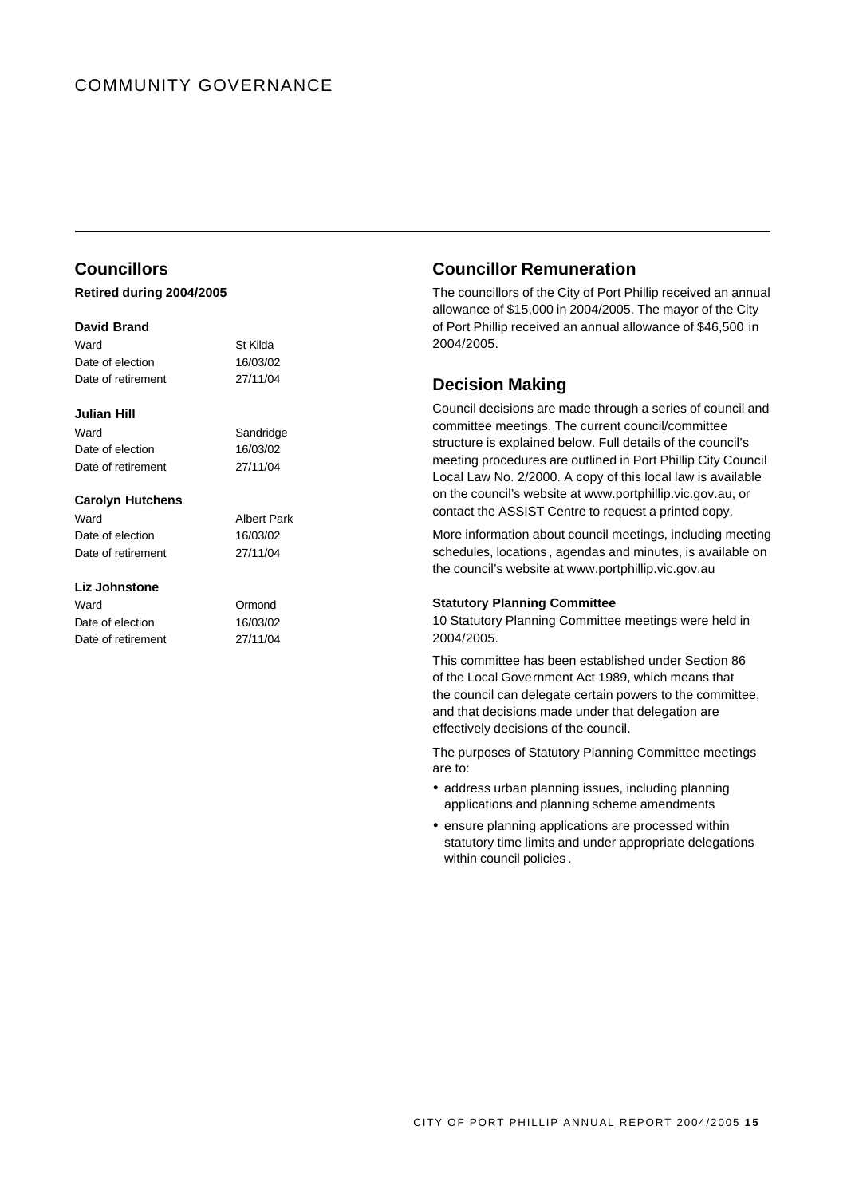# COMMUNITY GOVERNANCE

# **Councillors**

### **Retired during 2004/2005**

### **David Brand**

| Ward               | St Kilda |
|--------------------|----------|
| Date of election   | 16/03/02 |
| Date of retirement | 27/11/04 |

Sandridge 16/03/02 27/11/04

#### **Julian Hill**

| Ward               |  |
|--------------------|--|
| Date of election   |  |
| Date of retirement |  |

#### **Carolyn Hutchens**

Ward **Albert Park** Date of election 16/03/02 Date of retirement 27/11/04

### **Liz Johnstone**

| Ward               | Ormond   |
|--------------------|----------|
| Date of election   | 16/03/02 |
| Date of retirement | 27/11/04 |

## **Councillor Remuneration**

The councillors of the City of Port Phillip received an annual allowance of \$15,000 in 2004/2005. The mayor of the City of Port Phillip received an annual allowance of \$46,500 in 2004/2005.

# **Decision Making**

Council decisions are made through a series of council and committee meetings. The current council/committee structure is explained below. Full details of the council's meeting procedures are outlined in Port Phillip City Council Local Law No. 2/2000. A copy of this local law is available on the council's website at www.portphillip.vic.gov.au, or contact the ASSIST Centre to request a printed copy.

More information about council meetings, including meeting schedules, locations , agendas and minutes, is available on the council's website at www.portphillip.vic.gov.au

## **Statutory Planning Committee**

10 Statutory Planning Committee meetings were held in 2004/2005.

This committee has been established under Section 86 of the Local Government Act 1989, which means that the council can delegate certain powers to the committee, and that decisions made under that delegation are effectively decisions of the council.

The purposes of Statutory Planning Committee meetings are to:

- address urban planning issues, including planning applications and planning scheme amendments
- ensure planning applications are processed within statutory time limits and under appropriate delegations within council policies .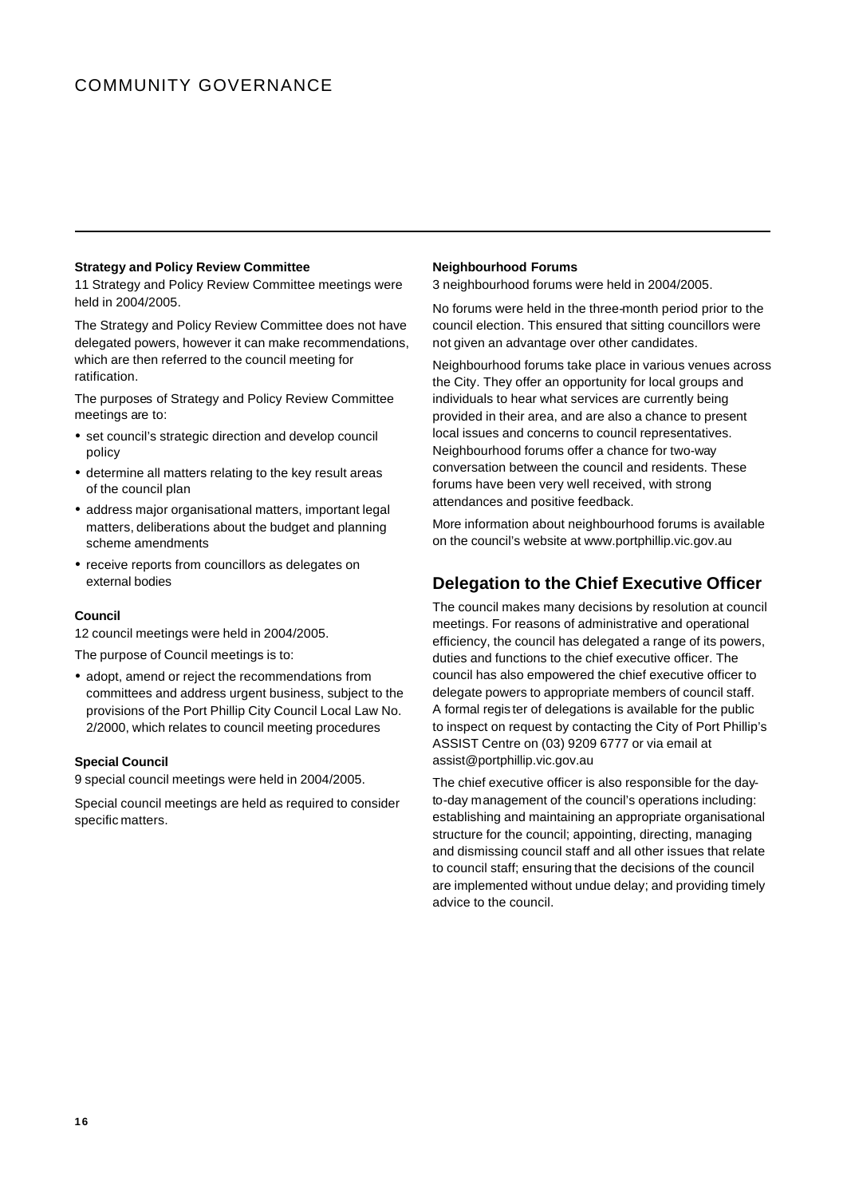#### **Strategy and Policy Review Committee**

11 Strategy and Policy Review Committee meetings were held in 2004/2005.

The Strategy and Policy Review Committee does not have delegated powers, however it can make recommendations, which are then referred to the council meeting for ratification.

The purposes of Strategy and Policy Review Committee meetings are to:

- set council's strategic direction and develop council policy
- determine all matters relating to the key result areas of the council plan
- address major organisational matters, important legal matters, deliberations about the budget and planning scheme amendments
- receive reports from councillors as delegates on external bodies

#### **Council**

12 council meetings were held in 2004/2005.

The purpose of Council meetings is to:

• adopt, amend or reject the recommendations from committees and address urgent business, subject to the provisions of the Port Phillip City Council Local Law No. 2/2000, which relates to council meeting procedures

#### **Special Council**

9 special council meetings were held in 2004/2005.

Special council meetings are held as required to consider specific matters.

#### **Neighbourhood Forums**

3 neighbourhood forums were held in 2004/2005.

No forums were held in the three-month period prior to the council election. This ensured that sitting councillors were not given an advantage over other candidates.

Neighbourhood forums take place in various venues across the City. They offer an opportunity for local groups and individuals to hear what services are currently being provided in their area, and are also a chance to present local issues and concerns to council representatives. Neighbourhood forums offer a chance for two-way conversation between the council and residents. These forums have been very well received, with strong attendances and positive feedback.

More information about neighbourhood forums is available on the council's website at www.portphillip.vic.gov.au

# **Delegation to the Chief Executive Officer**

The council makes many decisions by resolution at council meetings. For reasons of administrative and operational efficiency, the council has delegated a range of its powers, duties and functions to the chief executive officer. The council has also empowered the chief executive officer to delegate powers to appropriate members of council staff. A formal regis ter of delegations is available for the public to inspect on request by contacting the City of Port Phillip's ASSIST Centre on (03) 9209 6777 or via email at assist@portphillip.vic.gov.au

The chief executive officer is also responsible for the dayto-day management of the council's operations including: establishing and maintaining an appropriate organisational structure for the council; appointing, directing, managing and dismissing council staff and all other issues that relate to council staff; ensuring that the decisions of the council are implemented without undue delay; and providing timely advice to the council.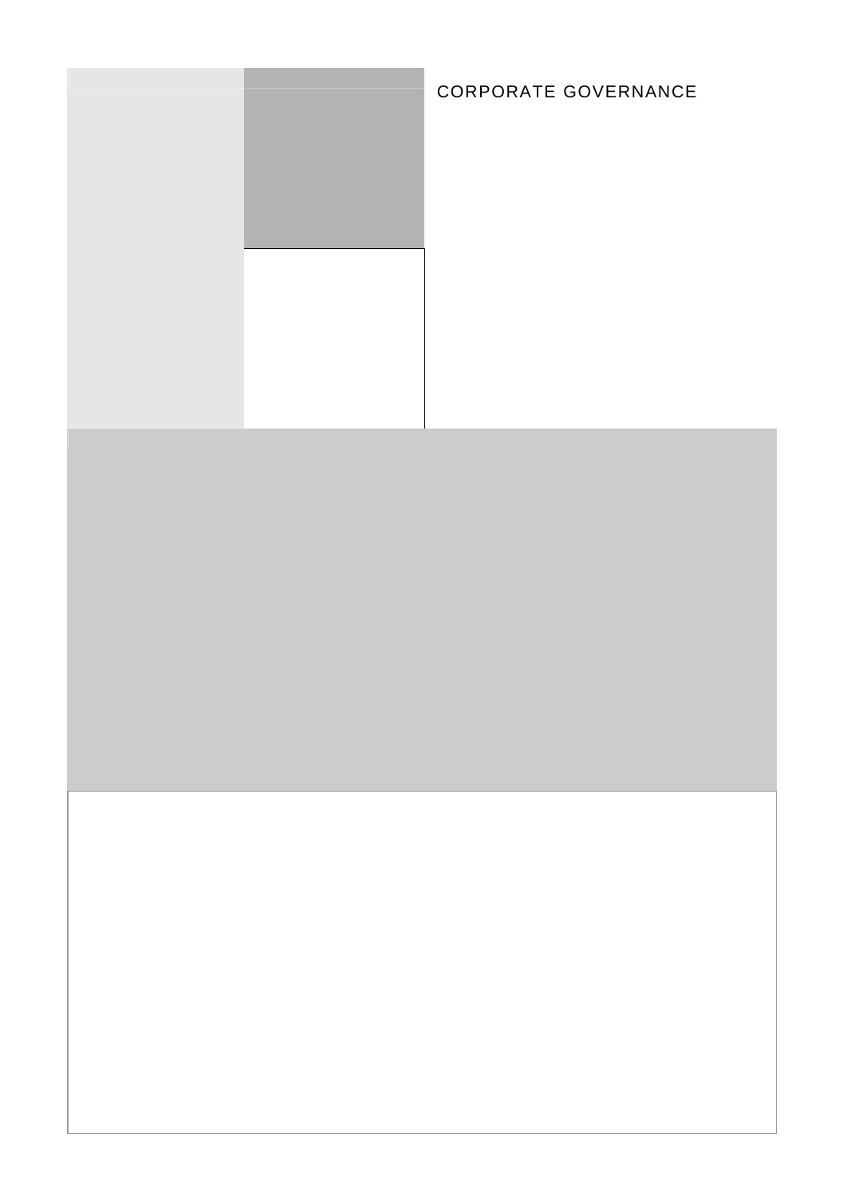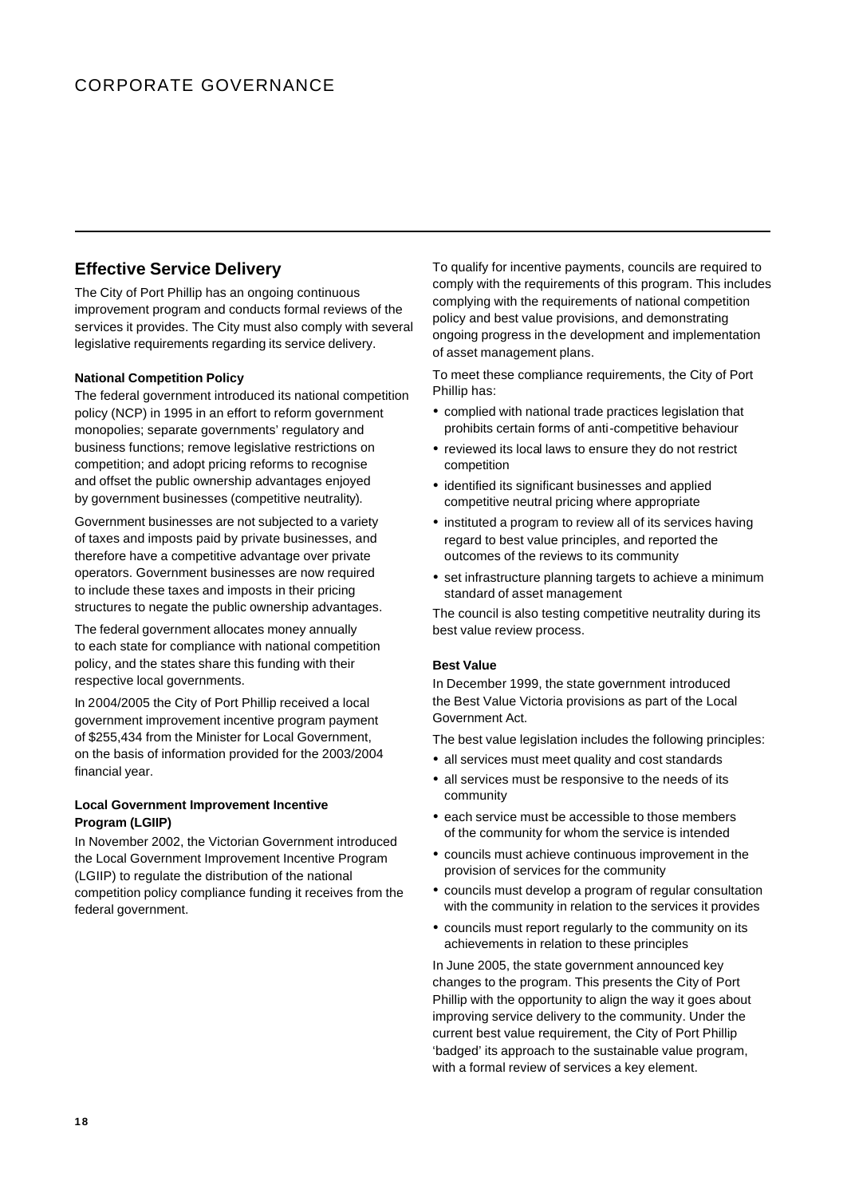# **Effective Service Delivery**

The City of Port Phillip has an ongoing continuous improvement program and conducts formal reviews of the services it provides. The City must also comply with several legislative requirements regarding its service delivery.

## **National Competition Policy**

The federal government introduced its national competition policy (NCP) in 1995 in an effort to reform government monopolies; separate governments' regulatory and business functions; remove legislative restrictions on competition; and adopt pricing reforms to recognise and offset the public ownership advantages enjoyed by government businesses (competitive neutrality).

Government businesses are not subjected to a variety of taxes and imposts paid by private businesses, and therefore have a competitive advantage over private operators. Government businesses are now required to include these taxes and imposts in their pricing structures to negate the public ownership advantages.

The federal government allocates money annually to each state for compliance with national competition policy, and the states share this funding with their respective local governments.

In 2004/2005 the City of Port Phillip received a local government improvement incentive program payment of \$255,434 from the Minister for Local Government, on the basis of information provided for the 2003/2004 financial year.

### **Local Government Improvement Incentive Program (LGIIP)**

In November 2002, the Victorian Government introduced the Local Government Improvement Incentive Program (LGIIP) to regulate the distribution of the national competition policy compliance funding it receives from the federal government.

To qualify for incentive payments, councils are required to comply with the requirements of this program. This includes complying with the requirements of national competition policy and best value provisions, and demonstrating ongoing progress in the development and implementation of asset management plans.

To meet these compliance requirements, the City of Port Phillip has:

- complied with national trade practices legislation that prohibits certain forms of anti-competitive behaviour
- reviewed its local laws to ensure they do not restrict competition
- identified its significant businesses and applied competitive neutral pricing where appropriate
- instituted a program to review all of its services having regard to best value principles, and reported the outcomes of the reviews to its community
- set infrastructure planning targets to achieve a minimum standard of asset management

The council is also testing competitive neutrality during its best value review process.

#### **Best Value**

In December 1999, the state government introduced the Best Value Victoria provisions as part of the Local Government Act.

The best value legislation includes the following principles:

- all services must meet quality and cost standards
- all services must be responsive to the needs of its community
- each service must be accessible to those members of the community for whom the service is intended
- ü councils must achieve continuous improvement in the provision of services for the community
- councils must develop a program of regular consultation with the community in relation to the services it provides
- councils must report regularly to the community on its achievements in relation to these principles

In June 2005, the state government announced key changes to the program. This presents the City of Port Phillip with the opportunity to align the way it goes about improving service delivery to the community. Under the current best value requirement, the City of Port Phillip 'badged' its approach to the sustainable value program, with a formal review of services a key element.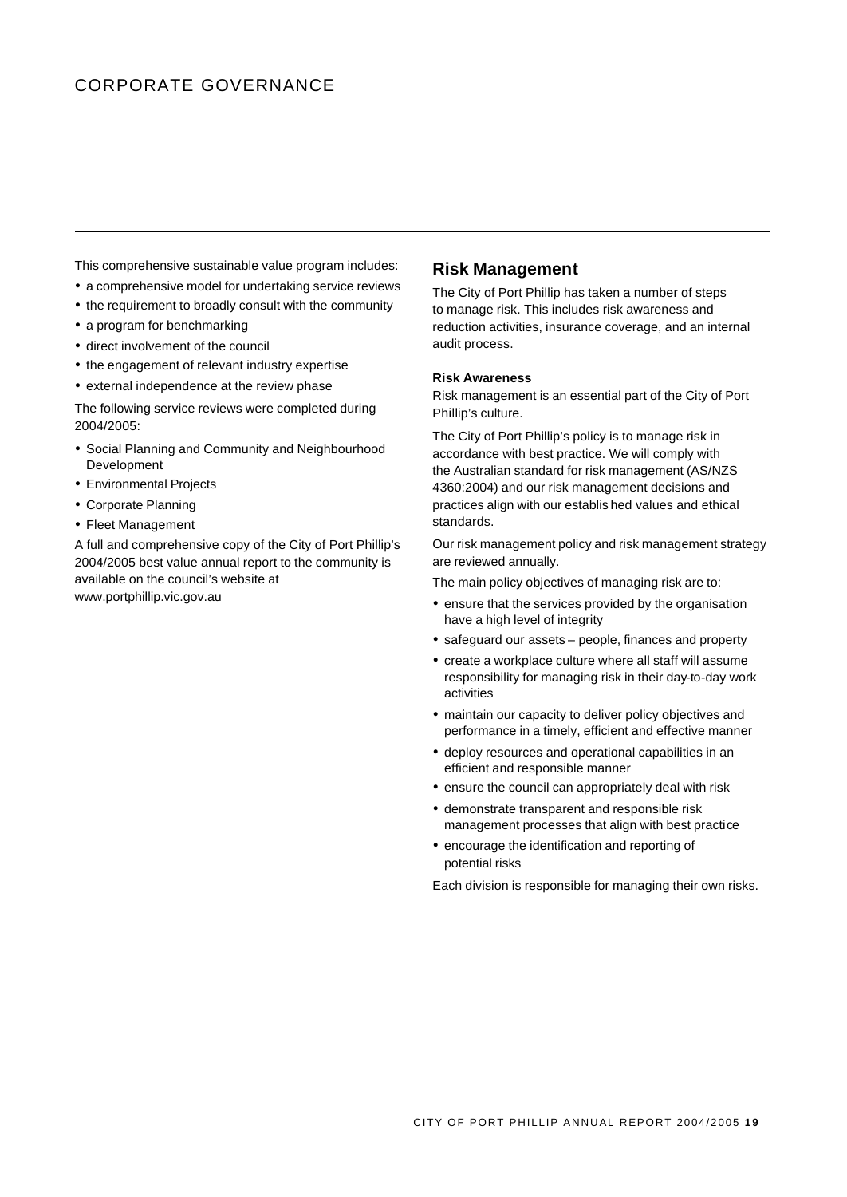# CORPORATE GOVERNANCE

This comprehensive sustainable value program includes:

- a comprehensive model for undertaking service reviews
- the requirement to broadly consult with the community
- a program for benchmarking
- direct involvement of the council
- the engagement of relevant industry expertise
- external independence at the review phase

The following service reviews were completed during 2004/2005:

- Social Planning and Community and Neighbourhood Development
- **Environmental Projects**
- Corporate Planning
- Fleet Management

A full and comprehensive copy of the City of Port Phillip's 2004/2005 best value annual report to the community is available on the council's website at www.portphillip.vic.gov.au

## **Risk Management**

The City of Port Phillip has taken a number of steps to manage risk. This includes risk awareness and reduction activities, insurance coverage, and an internal audit process.

#### **Risk Awareness**

Risk management is an essential part of the City of Port Phillip's culture.

The City of Port Phillip's policy is to manage risk in accordance with best practice. We will comply with the Australian standard for risk management (AS/NZS 4360:2004) and our risk management decisions and practices align with our establis hed values and ethical standards.

Our risk management policy and risk management strategy are reviewed annually.

The main policy objectives of managing risk are to:

- ensure that the services provided by the organisation have a high level of integrity
- safeguard our assets people, finances and property
- create a workplace culture where all staff will assume responsibility for managing risk in their day-to-day work activities
- maintain our capacity to deliver policy objectives and performance in a timely, efficient and effective manner
- deploy resources and operational capabilities in an efficient and responsible manner
- ensure the council can appropriately deal with risk
- demonstrate transparent and responsible risk management processes that align with best practice
- encourage the identification and reporting of potential risks

Each division is responsible for managing their own risks.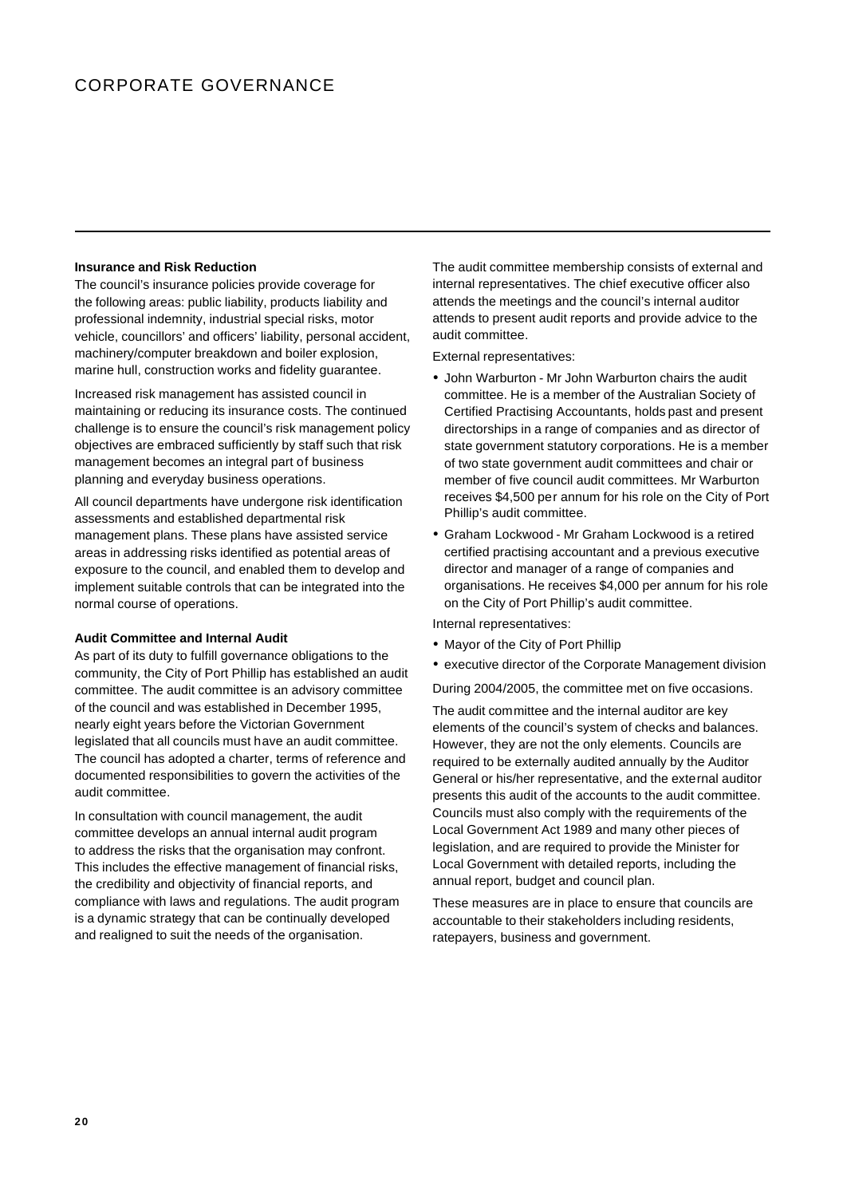# CORPORATE GOVERNANCE

#### **Insurance and Risk Reduction**

The council's insurance policies provide coverage for the following areas: public liability, products liability and professional indemnity, industrial special risks, motor vehicle, councillors' and officers' liability, personal accident, machinery/computer breakdown and boiler explosion, marine hull, construction works and fidelity guarantee.

Increased risk management has assisted council in maintaining or reducing its insurance costs. The continued challenge is to ensure the council's risk management policy objectives are embraced sufficiently by staff such that risk management becomes an integral part of business planning and everyday business operations.

All council departments have undergone risk identification assessments and established departmental risk management plans. These plans have assisted service areas in addressing risks identified as potential areas of exposure to the council, and enabled them to develop and implement suitable controls that can be integrated into the normal course of operations.

#### **Audit Committee and Internal Audit**

As part of its duty to fulfill governance obligations to the community, the City of Port Phillip has established an audit committee. The audit committee is an advisory committee of the council and was established in December 1995, nearly eight years before the Victorian Government legislated that all councils must have an audit committee. The council has adopted a charter, terms of reference and documented responsibilities to govern the activities of the audit committee.

In consultation with council management, the audit committee develops an annual internal audit program to address the risks that the organisation may confront. This includes the effective management of financial risks, the credibility and objectivity of financial reports, and compliance with laws and regulations. The audit program is a dynamic strategy that can be continually developed and realigned to suit the needs of the organisation.

The audit committee membership consists of external and internal representatives. The chief executive officer also attends the meetings and the council's internal auditor attends to present audit reports and provide advice to the audit committee.

External representatives:

- John Warburton Mr John Warburton chairs the audit committee. He is a member of the Australian Society of Certified Practising Accountants, holds past and present directorships in a range of companies and as director of state government statutory corporations. He is a member of two state government audit committees and chair or member of five council audit committees. Mr Warburton receives \$4,500 per annum for his role on the City of Port Phillip's audit committee.
- ü Graham Lockwood Mr Graham Lockwood is a retired certified practising accountant and a previous executive director and manager of a range of companies and organisations. He receives \$4,000 per annum for his role on the City of Port Phillip's audit committee.

Internal representatives:

- Mayor of the City of Port Phillip
- executive director of the Corporate Management division

During 2004/2005, the committee met on five occasions.

The audit committee and the internal auditor are key elements of the council's system of checks and balances. However, they are not the only elements. Councils are required to be externally audited annually by the Auditor General or his/her representative, and the external auditor presents this audit of the accounts to the audit committee. Councils must also comply with the requirements of the Local Government Act 1989 and many other pieces of legislation, and are required to provide the Minister for Local Government with detailed reports, including the annual report, budget and council plan.

These measures are in place to ensure that councils are accountable to their stakeholders including residents, ratepayers, business and government.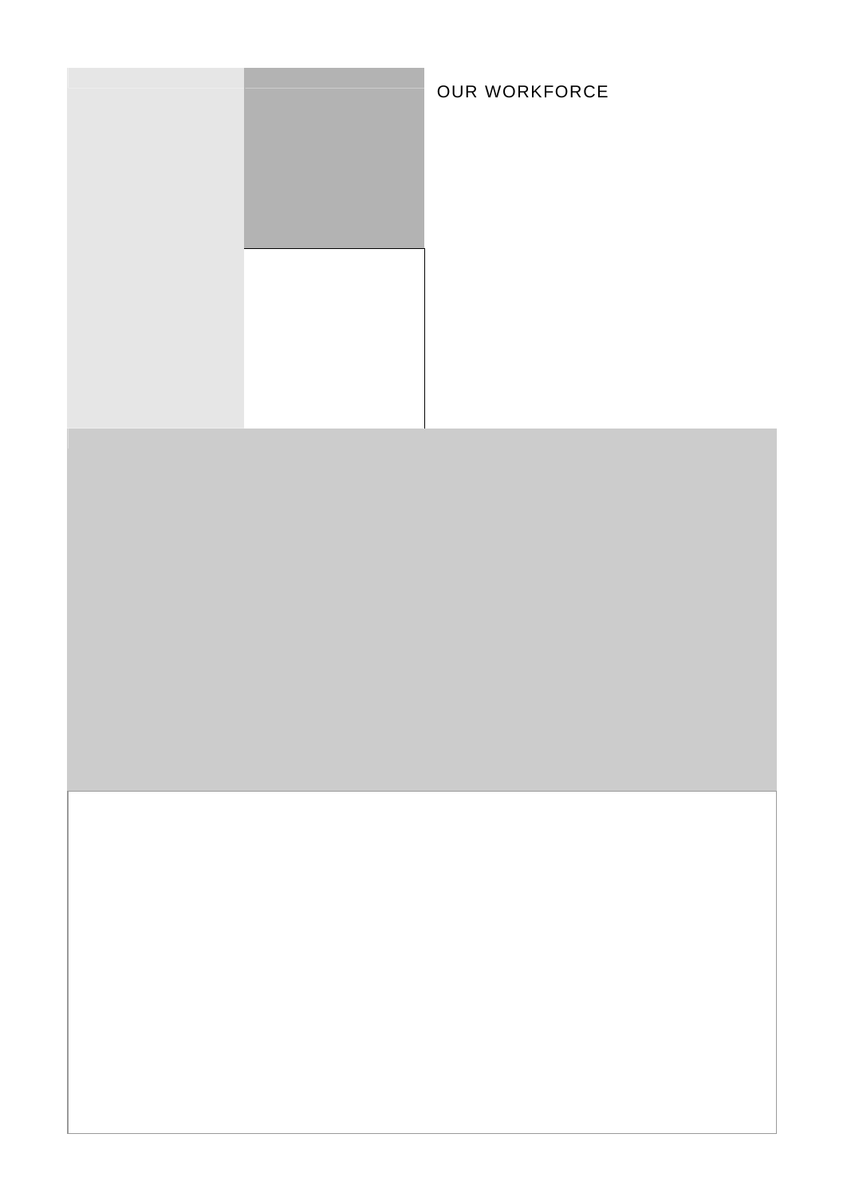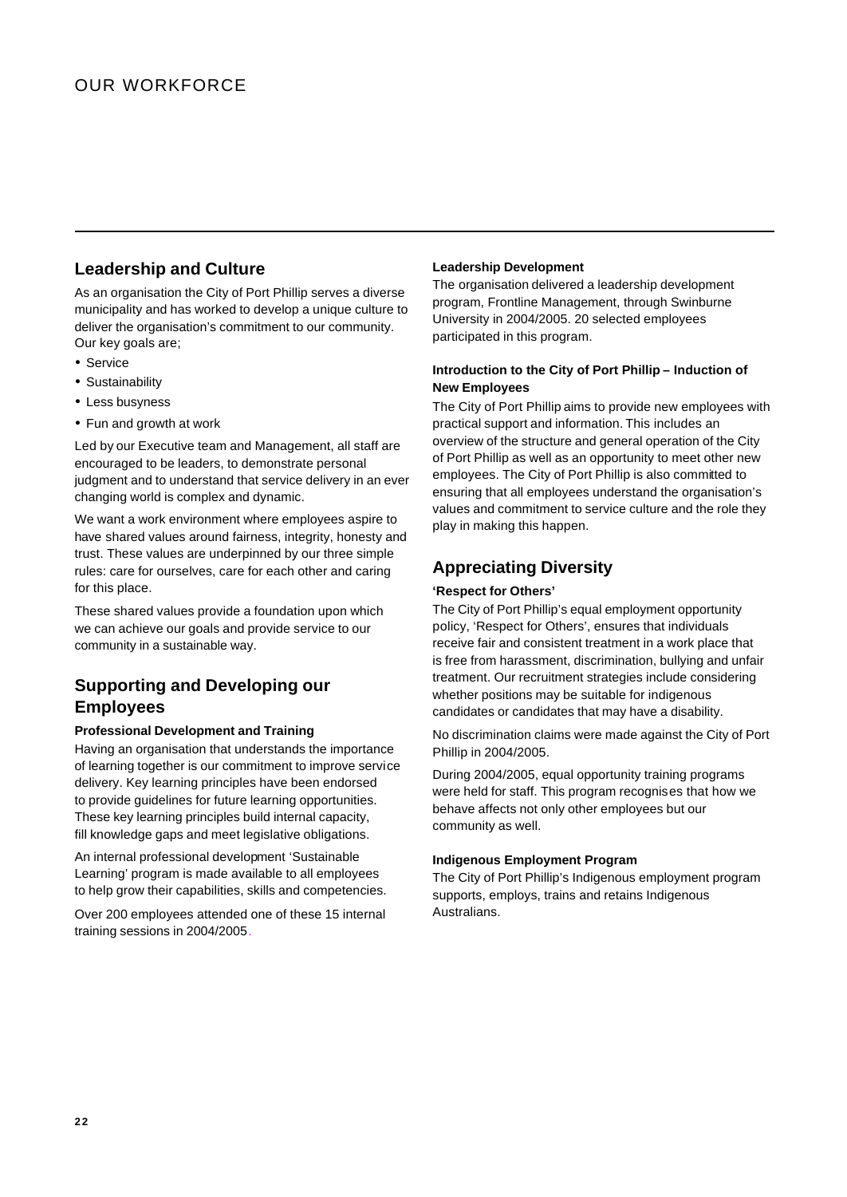# **Leadership and Culture**

As an organisation the City of Port Phillip serves a diverse municipality and has worked to develop a unique culture to deliver the organisation's commitment to our community. Our key goals are;

- Service
- Sustainability
- Less busyness
- Fun and growth at work

Led by our Executive team and Management, all staff are encouraged to be leaders, to demonstrate personal judgment and to understand that service delivery in an ever changing world is complex and dynamic.

We want a work environment where employees aspire to have shared values around fairness, integrity, honesty and trust. These values are underpinned by our three simple rules: care for ourselves, care for each other and caring for this place.

These shared values provide a foundation upon which we can achieve our goals and provide service to our community in a sustainable way.

# **Supporting and Developing our Employees**

## **Professional Development and Training**

Having an organisation that understands the importance of learning together is our commitment to improve service delivery. Key learning principles have been endorsed to provide guidelines for future learning opportunities. These key learning principles build internal capacity, fill knowledge gaps and meet legislative obligations.

An internal professional development 'Sustainable Learning' program is made available to all employees to help grow their capabilities, skills and competencies.

Over 200 employees attended one of these 15 internal training sessions in 2004/2005.

## **Leadership Development**

The organisation delivered a leadership development program, Frontline Management, through Swinburne University in 2004/2005. 20 selected employees participated in this program.

## **Introduction to the City of Port Phillip – Induction of New Employees**

The City of Port Phillip aims to provide new employees with practical support and information. This includes an overview of the structure and general operation of the City of Port Phillip as well as an opportunity to meet other new employees. The City of Port Phillip is also committed to ensuring that all employees understand the organisation's values and commitment to service culture and the role they play in making this happen.

# **Appreciating Diversity**

### **'Respect for Others'**

The City of Port Phillip's equal employment opportunity policy, 'Respect for Others', ensures that individuals receive fair and consistent treatment in a work place that is free from harassment, discrimination, bullying and unfair treatment. Our recruitment strategies include considering whether positions may be suitable for indigenous candidates or candidates that may have a disability.

No discrimination claims were made against the City of Port Phillip in 2004/2005.

During 2004/2005, equal opportunity training programs were held for staff. This program recognises that how we behave affects not only other employees but our community as well.

## **Indigenous Employment Program**

The City of Port Phillip's Indigenous employment program supports, employs, trains and retains Indigenous Australians.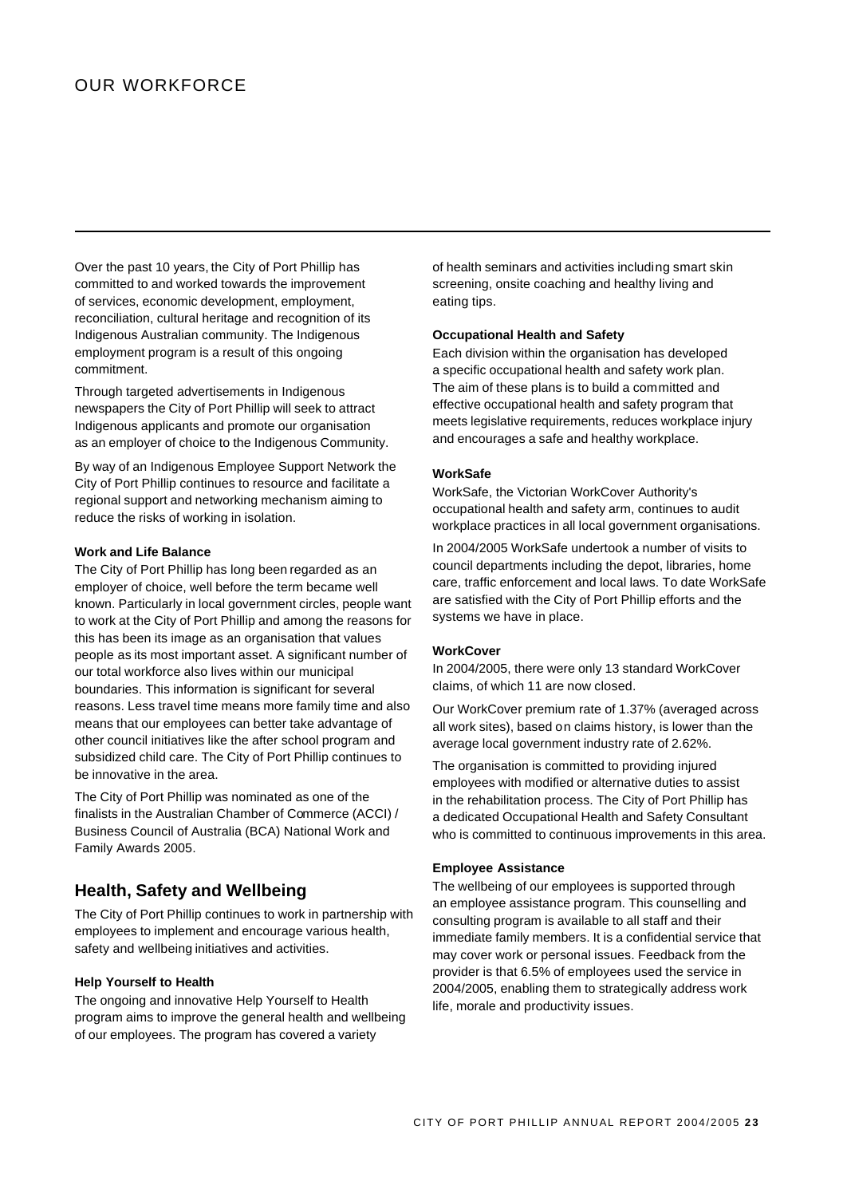# OUR WORKFORCE

Over the past 10 years, the City of Port Phillip has committed to and worked towards the improvement of services, economic development, employment, reconciliation, cultural heritage and recognition of its Indigenous Australian community. The Indigenous employment program is a result of this ongoing commitment.

Through targeted advertisements in Indigenous newspapers the City of Port Phillip will seek to attract Indigenous applicants and promote our organisation as an employer of choice to the Indigenous Community.

By way of an Indigenous Employee Support Network the City of Port Phillip continues to resource and facilitate a regional support and networking mechanism aiming to reduce the risks of working in isolation.

## **Work and Life Balance**

The City of Port Phillip has long been regarded as an employer of choice, well before the term became well known. Particularly in local government circles, people want to work at the City of Port Phillip and among the reasons for this has been its image as an organisation that values people as its most important asset. A significant number of our total workforce also lives within our municipal boundaries. This information is significant for several reasons. Less travel time means more family time and also means that our employees can better take advantage of other council initiatives like the after school program and subsidized child care. The City of Port Phillip continues to be innovative in the area.

The City of Port Phillip was nominated as one of the finalists in the Australian Chamber of Commerce (ACCI) / Business Council of Australia (BCA) National Work and Family Awards 2005.

## **Health, Safety and Wellbeing**

The City of Port Phillip continues to work in partnership with employees to implement and encourage various health, safety and wellbeing initiatives and activities.

#### **Help Yourself to Health**

The ongoing and innovative Help Yourself to Health program aims to improve the general health and wellbeing of our employees. The program has covered a variety

of health seminars and activities including smart skin screening, onsite coaching and healthy living and eating tips.

### **Occupational Health and Safety**

Each division within the organisation has developed a specific occupational health and safety work plan. The aim of these plans is to build a committed and effective occupational health and safety program that meets legislative requirements, reduces workplace injury and encourages a safe and healthy workplace.

#### **WorkSafe**

WorkSafe, the Victorian WorkCover Authority's occupational health and safety arm, continues to audit workplace practices in all local government organisations.

In 2004/2005 WorkSafe undertook a number of visits to council departments including the depot, libraries, home care, traffic enforcement and local laws. To date WorkSafe are satisfied with the City of Port Phillip efforts and the systems we have in place.

#### **WorkCover**

In 2004/2005, there were only 13 standard WorkCover claims, of which 11 are now closed.

Our WorkCover premium rate of 1.37% (averaged across all work sites), based on claims history, is lower than the average local government industry rate of 2.62%.

The organisation is committed to providing injured employees with modified or alternative duties to assist in the rehabilitation process. The City of Port Phillip has a dedicated Occupational Health and Safety Consultant who is committed to continuous improvements in this area.

#### **Employee Assistance**

The wellbeing of our employees is supported through an employee assistance program. This counselling and consulting program is available to all staff and their immediate family members. It is a confidential service that may cover work or personal issues. Feedback from the provider is that 6.5% of employees used the service in 2004/2005, enabling them to strategically address work life, morale and productivity issues.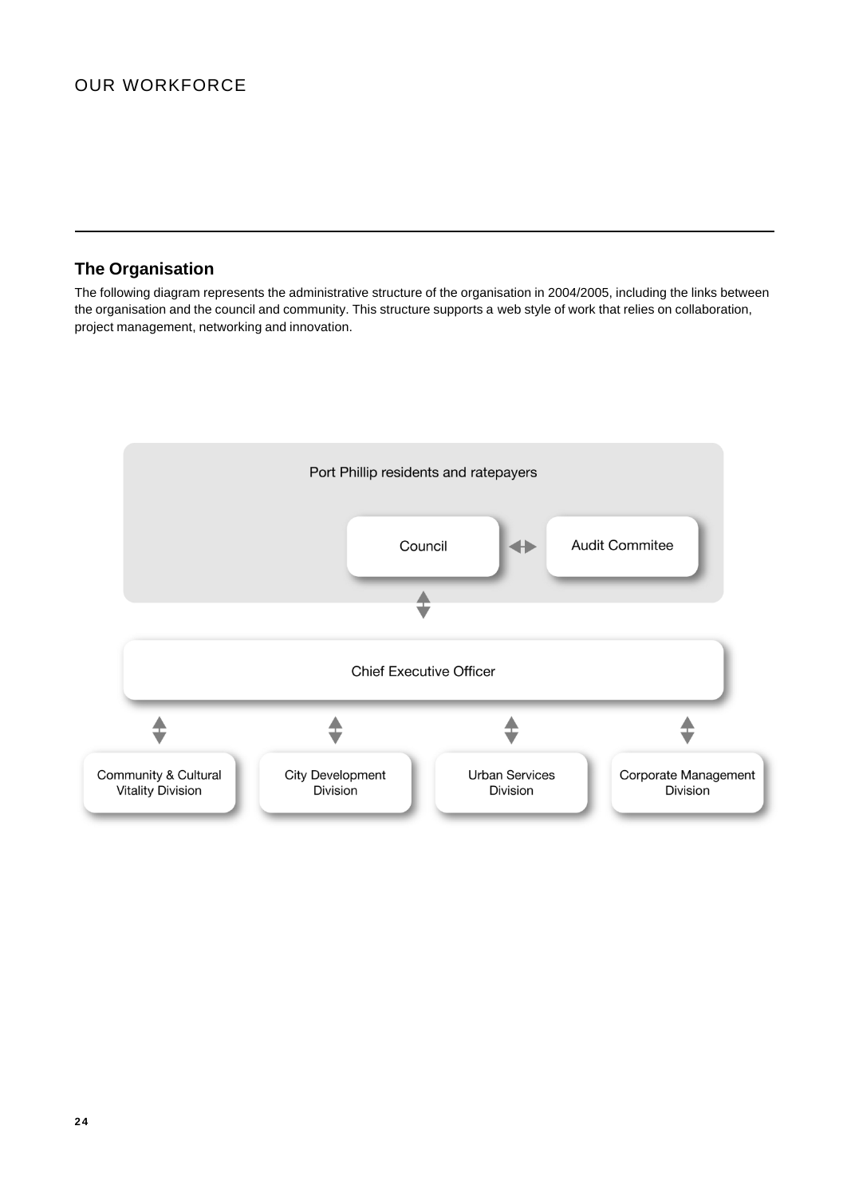# **The Organisation**

The following diagram represents the administrative structure of the organisation in 2004/2005, including the links between the organisation and the council and community. This structure supports a web style of work that relies on collaboration, project management, networking and innovation.

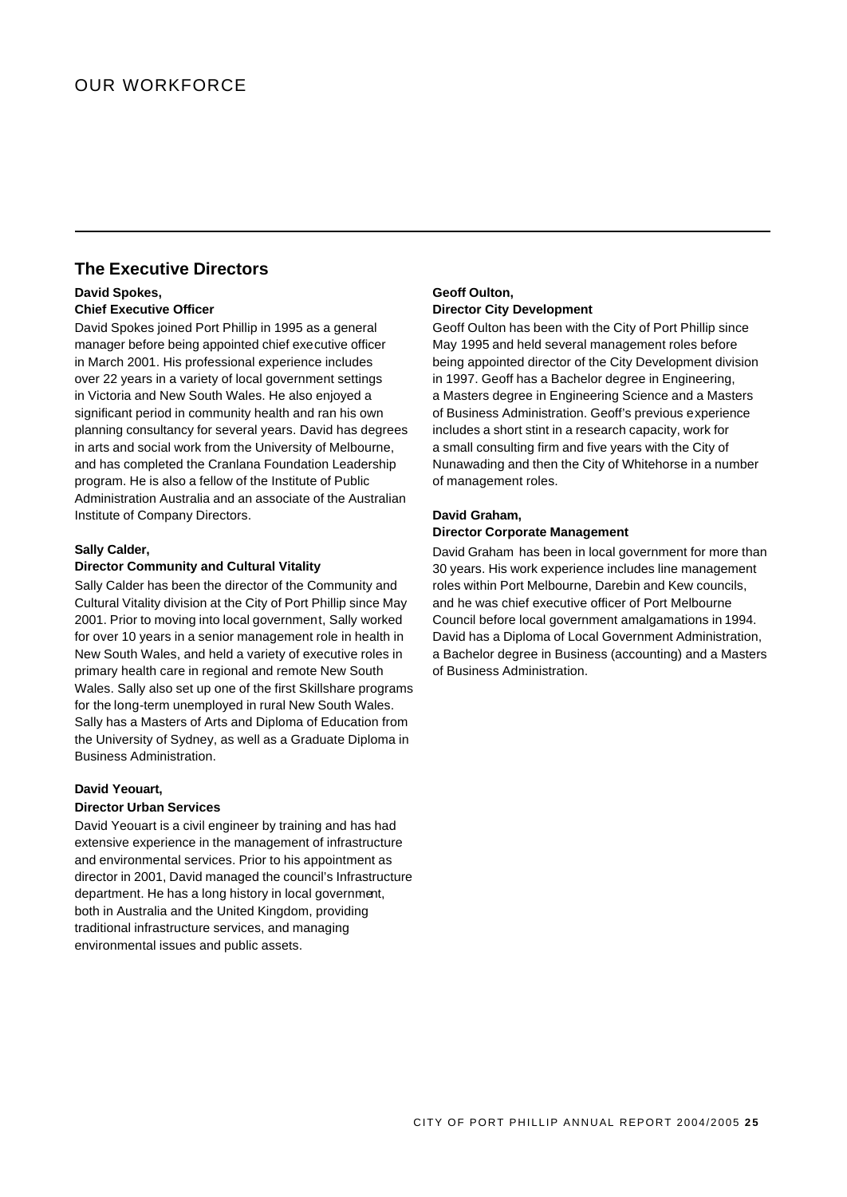# **The Executive Directors**

## **David Spokes, Chief Executive Officer**

David Spokes joined Port Phillip in 1995 as a general manager before being appointed chief executive officer in March 2001. His professional experience includes over 22 years in a variety of local government settings in Victoria and New South Wales. He also enjoyed a significant period in community health and ran his own planning consultancy for several years. David has degrees in arts and social work from the University of Melbourne, and has completed the Cranlana Foundation Leadership program. He is also a fellow of the Institute of Public Administration Australia and an associate of the Australian Institute of Company Directors.

## **Sally Calder,**

## **Director Community and Cultural Vitality**

Sally Calder has been the director of the Community and Cultural Vitality division at the City of Port Phillip since May 2001. Prior to moving into local government, Sally worked for over 10 years in a senior management role in health in New South Wales, and held a variety of executive roles in primary health care in regional and remote New South Wales. Sally also set up one of the first Skillshare programs for the long-term unemployed in rural New South Wales. Sally has a Masters of Arts and Diploma of Education from the University of Sydney, as well as a Graduate Diploma in Business Administration.

## **David Yeouart,**

### **Director Urban Services**

David Yeouart is a civil engineer by training and has had extensive experience in the management of infrastructure and environmental services. Prior to his appointment as director in 2001, David managed the council's Infrastructure department. He has a long history in local government, both in Australia and the United Kingdom, providing traditional infrastructure services, and managing environmental issues and public assets.

## **Geoff Oulton, Director City Development**

Geoff Oulton has been with the City of Port Phillip since May 1995 and held several management roles before being appointed director of the City Development division in 1997. Geoff has a Bachelor degree in Engineering, a Masters degree in Engineering Science and a Masters of Business Administration. Geoff's previous experience includes a short stint in a research capacity, work for a small consulting firm and five years with the City of Nunawading and then the City of Whitehorse in a number of management roles.

#### **David Graham,**

### **Director Corporate Management**

David Graham has been in local government for more than 30 years. His work experience includes line management roles within Port Melbourne, Darebin and Kew councils, and he was chief executive officer of Port Melbourne Council before local government amalgamations in 1994. David has a Diploma of Local Government Administration, a Bachelor degree in Business (accounting) and a Masters of Business Administration.